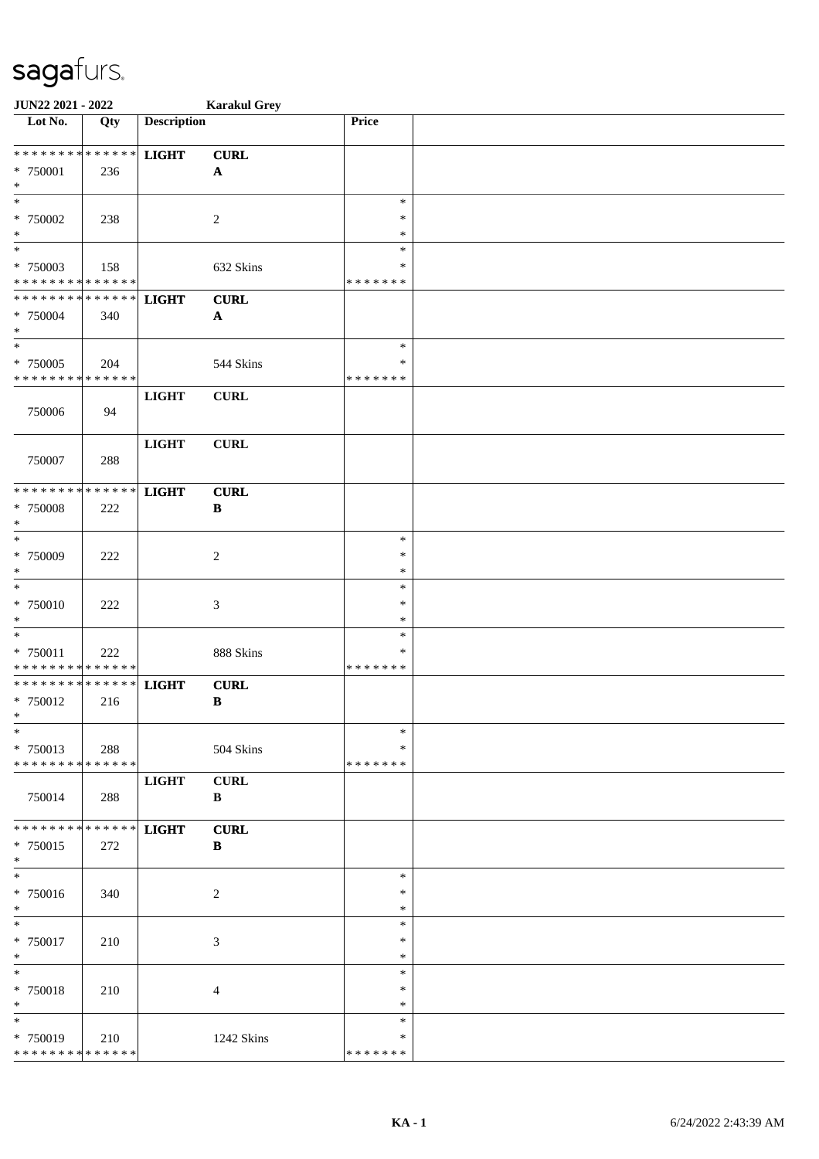| JUN22 2021 - 2022            |     |                    | <b>Karakul Grey</b>       |               |  |
|------------------------------|-----|--------------------|---------------------------|---------------|--|
| Lot No.                      | Qty | <b>Description</b> |                           | Price         |  |
|                              |     |                    |                           |               |  |
| ******** <mark>******</mark> |     | <b>LIGHT</b>       | <b>CURL</b>               |               |  |
| * 750001                     | 236 |                    | $\mathbf{A}$              |               |  |
| $\ast$                       |     |                    |                           |               |  |
| $\ast$                       |     |                    |                           | $\ast$        |  |
| * 750002                     | 238 |                    | $\boldsymbol{2}$          | *             |  |
| $\ast$                       |     |                    |                           | ∗             |  |
| $\overline{\phantom{0}}$     |     |                    |                           | $\ast$        |  |
| * 750003                     | 158 |                    | 632 Skins                 | $\ast$        |  |
| * * * * * * * * * * * * * *  |     |                    |                           | * * * * * * * |  |
| * * * * * * * * * * * * * *  |     | <b>LIGHT</b>       | <b>CURL</b>               |               |  |
| * 750004                     | 340 |                    | $\boldsymbol{\mathsf{A}}$ |               |  |
| $\ast$                       |     |                    |                           |               |  |
| $*$                          |     |                    |                           | $\ast$        |  |
| $* 750005$                   | 204 |                    | 544 Skins                 | $\ast$        |  |
| * * * * * * * * * * * * * *  |     |                    |                           | * * * * * * * |  |
|                              |     | <b>LIGHT</b>       | <b>CURL</b>               |               |  |
| 750006                       | 94  |                    |                           |               |  |
|                              |     |                    |                           |               |  |
|                              |     | <b>LIGHT</b>       | <b>CURL</b>               |               |  |
| 750007                       | 288 |                    |                           |               |  |
|                              |     |                    |                           |               |  |
| * * * * * * * * * * * * * *  |     | <b>LIGHT</b>       | <b>CURL</b>               |               |  |
| * 750008                     | 222 |                    | $\, {\bf B}$              |               |  |
| $\ast$                       |     |                    |                           |               |  |
| $\ast$                       |     |                    |                           | $\ast$        |  |
| * 750009                     | 222 |                    | $\overline{c}$            | $\ast$        |  |
| $\ast$                       |     |                    |                           | $\ast$        |  |
| $\ast$                       |     |                    |                           | $\ast$        |  |
| $* 750010$                   | 222 |                    | $\mathfrak{Z}$            | $\ast$        |  |
| $\ast$                       |     |                    |                           | $\ast$        |  |
| $\ast$                       |     |                    |                           | $\ast$        |  |
| * 750011                     | 222 |                    | 888 Skins                 | $\ast$        |  |
| ******** <mark>******</mark> |     |                    |                           | * * * * * * * |  |
| ******** <mark>******</mark> |     | <b>LIGHT</b>       | <b>CURL</b>               |               |  |
| * 750012                     | 216 |                    | $\, {\bf B}$              |               |  |
| $*$                          |     |                    |                           |               |  |
| $\ast$                       |     |                    |                           | $\ast$        |  |
| * 750013                     | 288 |                    | 504 Skins                 | *             |  |
| * * * * * * * * * * * * * *  |     |                    |                           | * * * * * * * |  |
|                              |     | <b>LIGHT</b>       | <b>CURL</b>               |               |  |
| 750014                       | 288 |                    | B                         |               |  |
|                              |     |                    |                           |               |  |
| ******** <mark>******</mark> |     | <b>LIGHT</b>       | <b>CURL</b>               |               |  |
| * 750015                     | 272 |                    | $\bf{B}$                  |               |  |
| $*$                          |     |                    |                           |               |  |
| $\overline{\phantom{0}}$     |     |                    |                           | $\ast$        |  |
| * 750016                     | 340 |                    | 2                         | *             |  |
| $*$                          |     |                    |                           | $\ast$        |  |
| $*$                          |     |                    |                           | $\ast$        |  |
| * 750017                     | 210 |                    | 3                         | $\ast$        |  |
| $*$                          |     |                    |                           | $\ast$        |  |
| $\ast$                       |     |                    |                           | $\ast$        |  |
| * 750018                     | 210 |                    | 4                         | $\ast$        |  |
| $\ast$                       |     |                    |                           | $\ast$        |  |
| $\overline{\ast}$            |     |                    |                           | $\ast$        |  |
| * 750019                     | 210 |                    | 1242 Skins                | *             |  |
| * * * * * * * * * * * * * *  |     |                    |                           | * * * * * * * |  |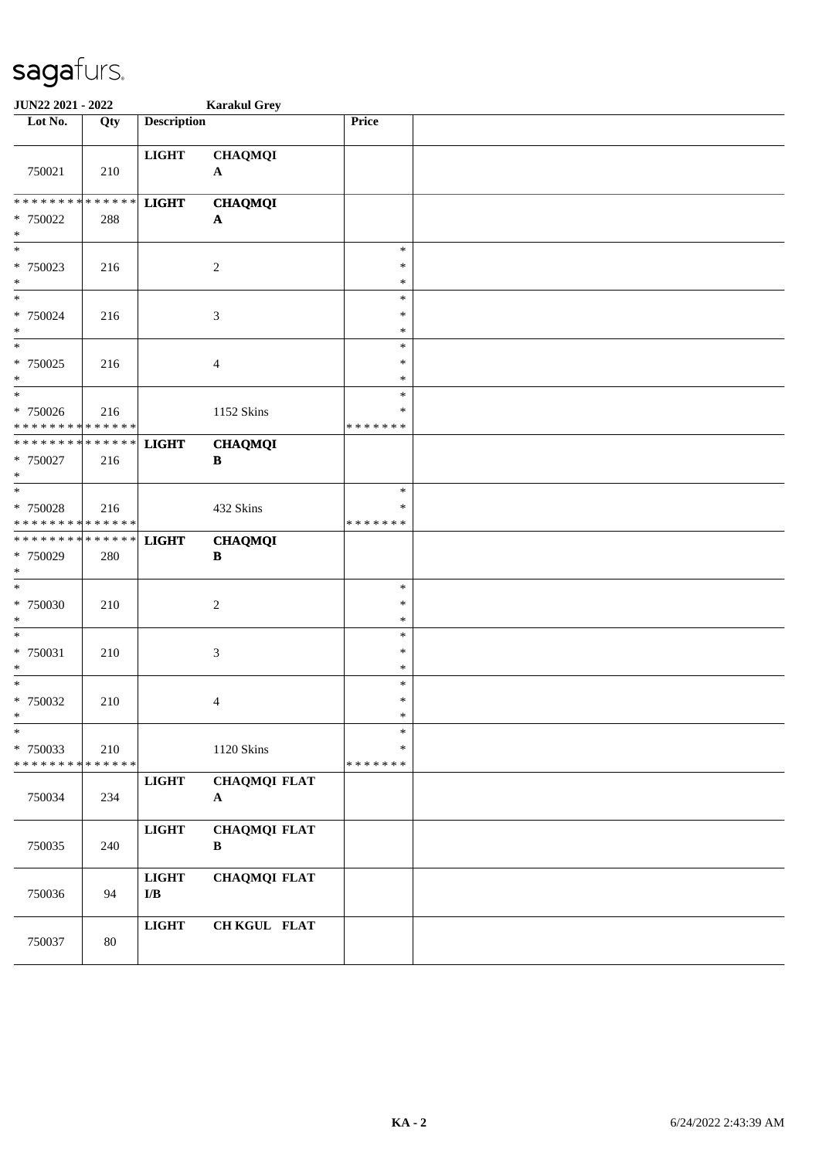| JUN22 2021 - 2022                                                       |     |                                           | <b>Karakul Grey</b>                 |                                   |  |
|-------------------------------------------------------------------------|-----|-------------------------------------------|-------------------------------------|-----------------------------------|--|
| Lot No.                                                                 | Qty | <b>Description</b>                        |                                     | Price                             |  |
| 750021                                                                  | 210 | <b>LIGHT</b>                              | <b>CHAQMQI</b><br>${\bf A}$         |                                   |  |
| * * * * * * * * * * * * * *                                             |     | <b>LIGHT</b>                              | <b>CHAQMQI</b>                      |                                   |  |
| * 750022<br>$\ast$                                                      | 288 |                                           | $\boldsymbol{\mathsf{A}}$           |                                   |  |
| $\ast$<br>* 750023<br>$\ast$                                            | 216 |                                           | $\overline{c}$                      | $\ast$<br>$\ast$<br>$\ast$        |  |
| $*$<br>* 750024<br>$\ast$                                               | 216 |                                           | 3                                   | $\ast$<br>*<br>$\ast$             |  |
| $\overline{\phantom{0}}$<br>* 750025<br>$\ast$                          | 216 |                                           | $\overline{4}$                      | $\ast$<br>$\ast$<br>$\ast$        |  |
| $\overline{\phantom{a}^*}$<br>$* 750026$<br>* * * * * * * * * * * * * * | 216 |                                           | 1152 Skins                          | $\ast$<br>*<br>* * * * * * *      |  |
| * * * * * * * * * * * * * *<br>* 750027<br>$\ast$                       | 216 | <b>LIGHT</b>                              | <b>CHAQMQI</b><br>$\, {\bf B}$      |                                   |  |
| $\ast$<br>* 750028<br>* * * * * * * * * * * * * *                       | 216 |                                           | 432 Skins                           | $\ast$<br>$\ast$<br>* * * * * * * |  |
| * * * * * * * * * * * * * *<br>* 750029<br>$\ast$                       | 280 | <b>LIGHT</b>                              | <b>CHAQMQI</b><br>$\, {\bf B}$      |                                   |  |
| $\ast$<br>* 750030<br>$\ast$                                            | 210 |                                           | $\sqrt{2}$                          | $\ast$<br>∗<br>*                  |  |
| $\ast$<br>* 750031<br>$\ast$                                            | 210 |                                           | $\mathfrak{Z}$                      | $\ast$<br>$\ast$<br>$\ast$        |  |
| $\ast$<br>$* 750032$<br>$\mathbf{x}$                                    | 210 |                                           | $\overline{4}$                      | $\ast$<br>$\ast$<br>$\ast$        |  |
| $\ast$<br>* 750033<br>* * * * * * * * <mark>* * * * * * *</mark>        | 210 |                                           | 1120 Skins                          | $\ast$<br>$\ast$<br>* * * * * * * |  |
| 750034                                                                  | 234 | $_{\rm LIGHT}$                            | <b>CHAQMQI FLAT</b><br>${\bf A}$    |                                   |  |
| 750035                                                                  | 240 | $_{\rm LIGHT}$                            | <b>CHAQMQI FLAT</b><br>$\, {\bf B}$ |                                   |  |
| 750036                                                                  | 94  | $_{\rm LIGHT}$<br>$\mathbf{I}/\mathbf{B}$ | <b>CHAQMQI FLAT</b>                 |                                   |  |
| 750037                                                                  | 80  | $_{\rm LIGHT}$                            | CH KGUL FLAT                        |                                   |  |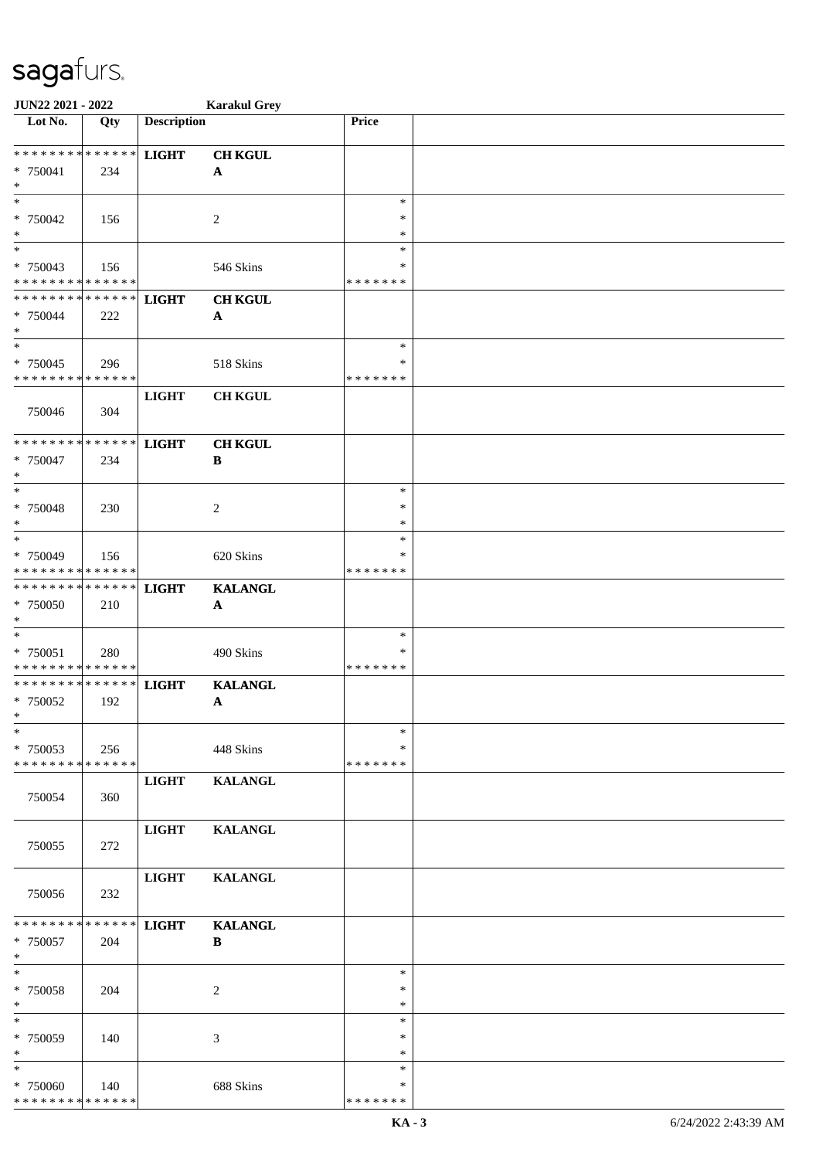| JUN22 2021 - 2022                                               |     |                    | <b>Karakul Grey</b>            |                                   |  |
|-----------------------------------------------------------------|-----|--------------------|--------------------------------|-----------------------------------|--|
| Lot No.                                                         | Qty | <b>Description</b> |                                | Price                             |  |
| ******** <mark>******</mark><br>* 750041<br>$\ast$              | 234 | <b>LIGHT</b>       | <b>CH KGUL</b><br>$\mathbf{A}$ |                                   |  |
| $*$<br>* 750042<br>$\ast$                                       | 156 |                    | 2                              | $\ast$<br>∗<br>*                  |  |
| $\overline{\ast}$<br>$* 750043$<br>* * * * * * * * * * * * * *  | 156 |                    | 546 Skins                      | $\ast$<br>$\ast$<br>* * * * * * * |  |
| * * * * * * * * * * * * * *<br>* 750044<br>$*$                  | 222 | <b>LIGHT</b>       | <b>CH KGUL</b><br>$\mathbf A$  |                                   |  |
| $*$<br>* 750045<br>* * * * * * * * * * * * * *                  | 296 |                    | 518 Skins                      | $\ast$<br>$\ast$<br>* * * * * * * |  |
| 750046                                                          | 304 | <b>LIGHT</b>       | <b>CH KGUL</b>                 |                                   |  |
| * * * * * * * * * * * * * *<br>$* 750047$<br>$*$                | 234 | <b>LIGHT</b>       | <b>CH KGUL</b><br>B            |                                   |  |
| $*$<br>$* 750048$<br>$\ast$                                     | 230 |                    | 2                              | $\ast$<br>$\ast$<br>*             |  |
| $*$<br>* 750049<br>* * * * * * * * * * * * * *                  | 156 |                    | 620 Skins                      | $\ast$<br>$\ast$<br>* * * * * * * |  |
| * * * * * * * * * * * * * *<br>* 750050<br>$*$                  | 210 | <b>LIGHT</b>       | <b>KALANGL</b><br>$\mathbf A$  |                                   |  |
| $*$<br>$* 750051$<br>* * * * * * * * <mark>* * * * * * *</mark> | 280 |                    | 490 Skins                      | $\ast$<br>*<br>* * * * * * *      |  |
| * * * * * * * * <mark>* * * * * * *</mark><br>* 750052<br>$*$   | 192 | <b>LIGHT</b>       | <b>KALANGL</b><br>$\mathbf A$  | $\ast$                            |  |
| $\ast$<br>* 750053<br>* * * * * * * * * * * * * *               | 256 |                    | 448 Skins                      | ∗<br>* * * * * * *                |  |
| 750054                                                          | 360 | <b>LIGHT</b>       | <b>KALANGL</b>                 |                                   |  |
| 750055                                                          | 272 | <b>LIGHT</b>       | <b>KALANGL</b>                 |                                   |  |
| 750056                                                          | 232 | <b>LIGHT</b>       | <b>KALANGL</b>                 |                                   |  |
| * * * * * * * * * * * * * * *<br>* 750057<br>$*$                | 204 | <b>LIGHT</b>       | <b>KALANGL</b><br>$\bf{B}$     |                                   |  |
| $*$<br>* 750058<br>$*$                                          | 204 |                    | 2                              | $\ast$<br>$\ast$<br>$\ast$        |  |
| $\ast$<br>* 750059<br>$*$                                       | 140 |                    | 3                              | $\ast$<br>∗<br>$\ast$             |  |
| $\ast$<br>* 750060<br>* * * * * * * * * * * * * *               | 140 |                    | 688 Skins                      | $\ast$<br>∗<br>* * * * * * *      |  |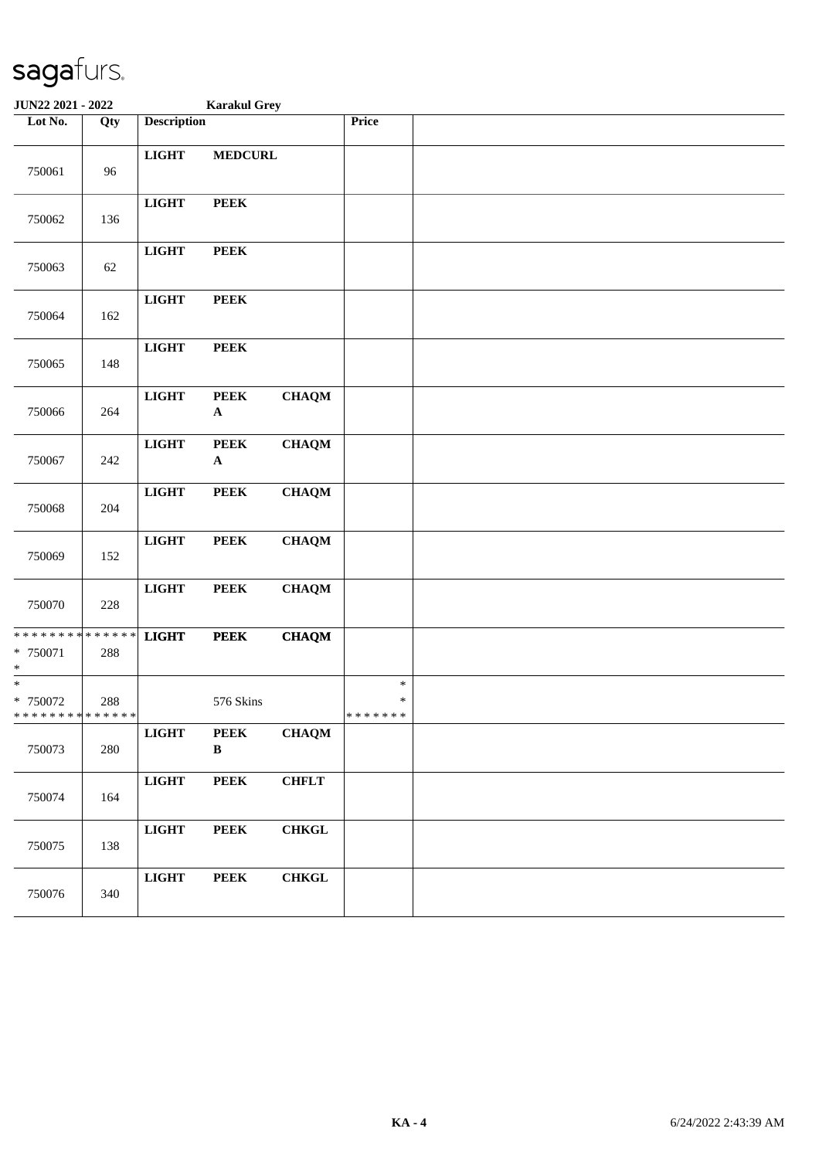| JUN22 2021 - 2022                                                |        | <b>Karakul Grey</b> |                             |              |                              |  |
|------------------------------------------------------------------|--------|---------------------|-----------------------------|--------------|------------------------------|--|
| Lot No.                                                          | Qty    | <b>Description</b>  |                             |              | Price                        |  |
| 750061                                                           | 96     | <b>LIGHT</b>        | <b>MEDCURL</b>              |              |                              |  |
| 750062                                                           | 136    | <b>LIGHT</b>        | <b>PEEK</b>                 |              |                              |  |
| 750063                                                           | $62\,$ | <b>LIGHT</b>        | <b>PEEK</b>                 |              |                              |  |
| 750064                                                           | 162    | <b>LIGHT</b>        | <b>PEEK</b>                 |              |                              |  |
| 750065                                                           | 148    | <b>LIGHT</b>        | <b>PEEK</b>                 |              |                              |  |
| 750066                                                           | 264    | <b>LIGHT</b>        | <b>PEEK</b><br>$\mathbf A$  | <b>CHAQM</b> |                              |  |
| 750067                                                           | 242    | <b>LIGHT</b>        | <b>PEEK</b><br>$\mathbf A$  | <b>CHAQM</b> |                              |  |
| 750068                                                           | 204    | <b>LIGHT</b>        | <b>PEEK</b>                 | <b>CHAQM</b> |                              |  |
| 750069                                                           | 152    | <b>LIGHT</b>        | <b>PEEK</b>                 | <b>CHAQM</b> |                              |  |
| 750070                                                           | 228    | <b>LIGHT</b>        | <b>PEEK</b>                 | <b>CHAQM</b> |                              |  |
| * * * * * * * * <mark>* * * * * * *</mark><br>* 750071<br>$\ast$ | 288    | <b>LIGHT</b>        | <b>PEEK</b>                 | <b>CHAQM</b> |                              |  |
| $\overline{\ast}$<br>$* 750072$<br>* * * * * * * * * * * * * *   | 288    |                     | 576 Skins                   |              | $\ast$<br>∗<br>* * * * * * * |  |
| 750073                                                           | 280    | $_{\rm LIGHT}$      | <b>PEEK</b><br>$\, {\bf B}$ | <b>CHAQM</b> |                              |  |
| 750074                                                           | 164    | $_{\rm LIGHT}$      | <b>PEEK</b>                 | <b>CHFLT</b> |                              |  |
| 750075                                                           | 138    | $_{\rm LIGHT}$      | <b>PEEK</b>                 | <b>CHKGL</b> |                              |  |
| 750076                                                           | 340    | $_{\rm LIGHT}$      | <b>PEEK</b>                 | <b>CHKGL</b> |                              |  |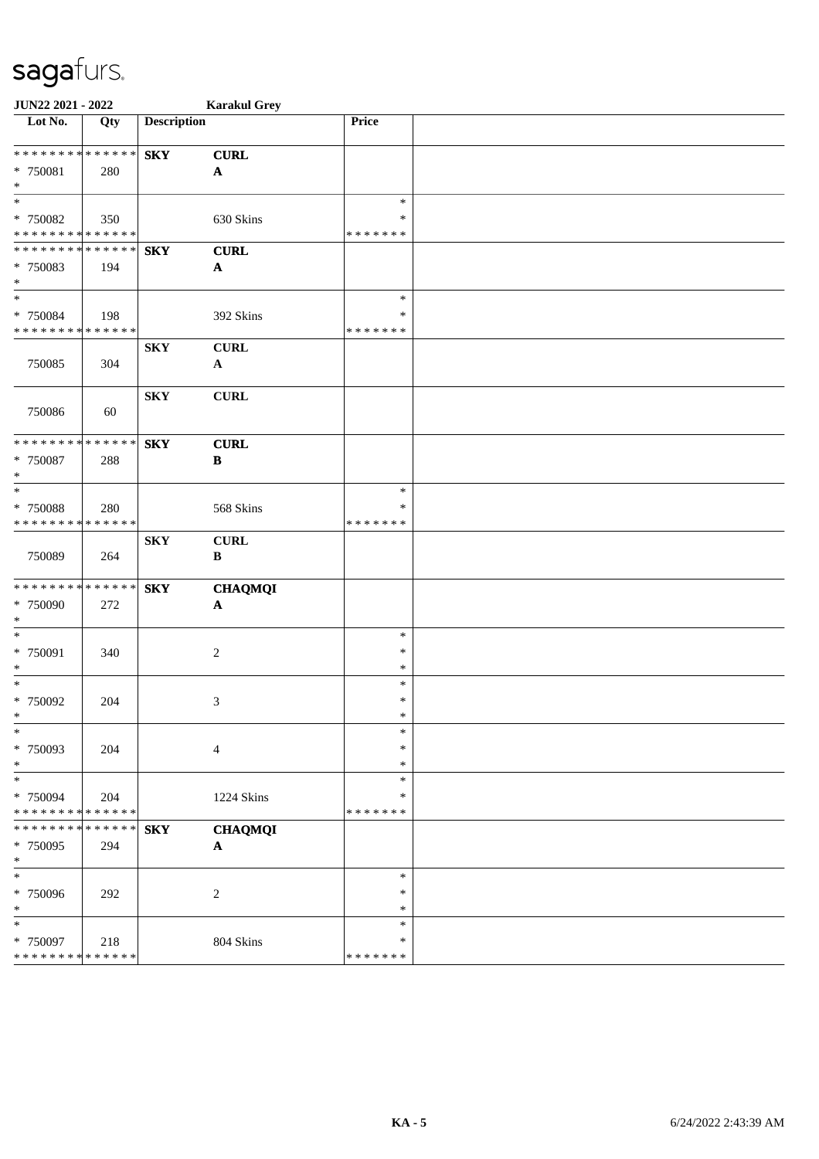| JUN22 2021 - 2022                          |             |                    | <b>Karakul Grey</b>   |                  |  |
|--------------------------------------------|-------------|--------------------|-----------------------|------------------|--|
| Lot No.                                    | Qty         | <b>Description</b> |                       | Price            |  |
| * * * * * * * * <mark>* * * * * * *</mark> |             | <b>SKY</b>         | <b>CURL</b>           |                  |  |
| * 750081                                   | 280         |                    | $\mathbf{A}$          |                  |  |
| $\ast$                                     |             |                    |                       |                  |  |
| $\ast$                                     |             |                    |                       | $\ast$           |  |
| * 750082                                   | 350         |                    | 630 Skins             | $\ast$           |  |
| * * * * * * * * * * * * * *                |             |                    |                       | * * * * * * *    |  |
| * * * * * * * * * * * * * *                |             | <b>SKY</b>         | <b>CURL</b>           |                  |  |
| * 750083                                   | 194         |                    | $\boldsymbol{\rm{A}}$ |                  |  |
| $\ast$                                     |             |                    |                       |                  |  |
| $\ast$                                     |             |                    |                       | $\ast$           |  |
| * 750084                                   | 198         |                    | 392 Skins             | *                |  |
| * * * * * * * * * * * * * *                |             |                    |                       | * * * * * * *    |  |
|                                            |             | <b>SKY</b>         | <b>CURL</b>           |                  |  |
| 750085                                     | 304         |                    | $\mathbf{A}$          |                  |  |
|                                            |             | <b>SKY</b>         | <b>CURL</b>           |                  |  |
| 750086                                     | 60          |                    |                       |                  |  |
|                                            |             |                    |                       |                  |  |
| * * * * * * * * * * * * * *                |             | <b>SKY</b>         | <b>CURL</b>           |                  |  |
| * 750087                                   | 288         |                    | $\, {\bf B}$          |                  |  |
| $\ast$                                     |             |                    |                       |                  |  |
| $\ast$                                     |             |                    |                       | $\ast$           |  |
| * 750088                                   | 280         |                    | 568 Skins             | $\ast$           |  |
| * * * * * * * * * * * * * *                |             |                    |                       | * * * * * * *    |  |
|                                            |             | <b>SKY</b>         | <b>CURL</b>           |                  |  |
| 750089                                     | 264         |                    | $\, {\bf B}$          |                  |  |
|                                            |             |                    |                       |                  |  |
| **************                             |             | <b>SKY</b>         | <b>CHAQMQI</b>        |                  |  |
| * 750090<br>$\ast$                         | 272         |                    | $\mathbf{A}$          |                  |  |
| $\ast$                                     |             |                    |                       | $\ast$           |  |
| * 750091                                   | 340         |                    | $\overline{c}$        | $\ast$           |  |
| $\ast$                                     |             |                    |                       | $\ast$           |  |
| $\ast$                                     |             |                    |                       | $\ast$           |  |
| * 750092                                   | 204         |                    | 3                     | $\ast$           |  |
| $\mathbf{r}$                               |             |                    |                       | $\ast$           |  |
| $\ast$                                     |             |                    |                       | $\ast$           |  |
| * 750093                                   | 204         |                    | $\overline{4}$        | $\ast$           |  |
| $\ast$                                     |             |                    |                       | $\ast$           |  |
| $\ast$                                     |             |                    |                       | $\ast$           |  |
| * 750094                                   | 204         |                    | 1224 Skins            | $\ast$           |  |
| * * * * * * * * * * * * * *                |             |                    |                       | * * * * * * *    |  |
| * * * * * * * *                            | * * * * * * | <b>SKY</b>         | <b>CHAQMQI</b>        |                  |  |
| * 750095                                   | 294         |                    | $\boldsymbol{\rm{A}}$ |                  |  |
| $\ast$                                     |             |                    |                       |                  |  |
| $\ast$                                     |             |                    |                       | $\ast$           |  |
| * 750096                                   | 292         |                    | $\overline{c}$        | ∗                |  |
| $\ast$<br>$\ast$                           |             |                    |                       | $\ast$<br>$\ast$ |  |
| * 750097                                   | 218         |                    | 804 Skins             | *                |  |
| * * * * * * * * * * * * * *                |             |                    |                       | * * * * * * *    |  |
|                                            |             |                    |                       |                  |  |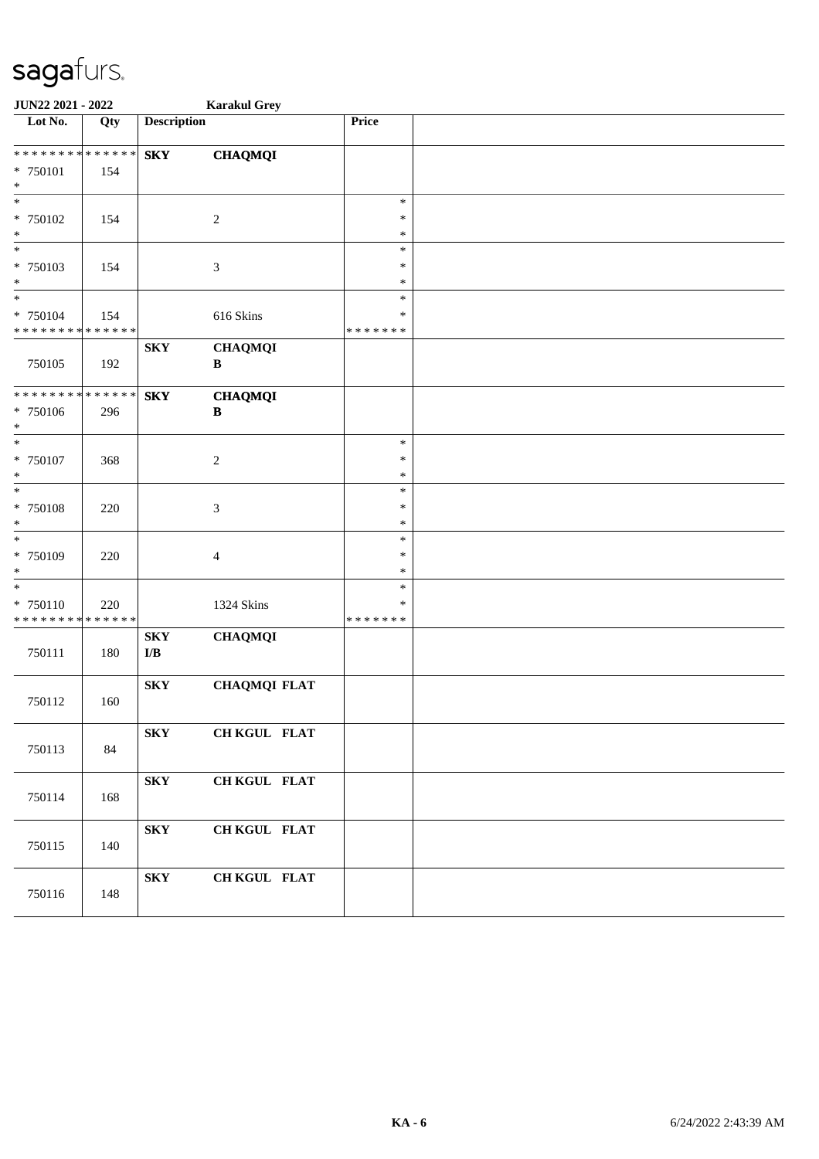| JUN22 2021 - 2022                       |     |                                                    | <b>Karakul Grey</b>         |                    |  |
|-----------------------------------------|-----|----------------------------------------------------|-----------------------------|--------------------|--|
| Lot No.                                 | Qty | <b>Description</b>                                 |                             | Price              |  |
| * * * * * * * * * * * * * *             |     | ${\bf S}{\bf K}{\bf Y}$                            | <b>CHAQMQI</b>              |                    |  |
| * 750101<br>$\ast$                      | 154 |                                                    |                             |                    |  |
| $\overline{\phantom{0}}$                |     |                                                    |                             | $\ast$             |  |
| * 750102<br>$\ast$                      | 154 |                                                    | $\boldsymbol{2}$            | $\ast$<br>$\ast$   |  |
| $\ast$                                  |     |                                                    |                             | $\ast$             |  |
| * 750103<br>$\ast$                      | 154 |                                                    | 3                           | $\ast$<br>$\ast$   |  |
| $\ast$                                  |     |                                                    |                             | $\ast$             |  |
| * 750104<br>* * * * * * * * * * * * * * | 154 |                                                    | 616 Skins                   | ∗<br>* * * * * * * |  |
|                                         |     | <b>SKY</b>                                         | <b>CHAQMQI</b>              |                    |  |
| 750105                                  | 192 |                                                    | $\, {\bf B}$                |                    |  |
| * * * * * * * * * * * * * *             |     | <b>SKY</b>                                         | <b>CHAQMQI</b>              |                    |  |
| * 750106<br>$\ast$                      | 296 |                                                    | $\, {\bf B}$                |                    |  |
| $\overline{\phantom{a}^*}$              |     |                                                    |                             | $\ast$             |  |
| $* 750107$<br>$\ast$                    | 368 |                                                    | $\boldsymbol{2}$            | $\ast$<br>$\ast$   |  |
| $\overline{\phantom{0}}$                |     |                                                    |                             | $\ast$             |  |
| * 750108                                | 220 |                                                    | $\ensuremath{\mathfrak{Z}}$ | $\ast$             |  |
| $\ast$<br>$\ast$                        |     |                                                    |                             | $\ast$<br>$\ast$   |  |
| * 750109                                | 220 |                                                    | $\overline{\mathcal{A}}$    | $\ast$             |  |
| $\ast$                                  |     |                                                    |                             | $\ast$             |  |
| $\ast$                                  |     |                                                    |                             | $\ast$             |  |
| * 750110                                | 220 |                                                    | 1324 Skins                  | $\ast$             |  |
| * * * * * * * * * * * * * *             |     |                                                    |                             | *******            |  |
| 750111                                  | 180 | ${\bf S}{\bf K}{\bf Y}$<br>$\mathbf{I}/\mathbf{B}$ | <b>CHAQMQI</b>              |                    |  |
|                                         |     |                                                    |                             |                    |  |
| 750112                                  | 160 | ${\bf S}{\bf K}{\bf Y}$                            | <b>CHAQMQI FLAT</b>         |                    |  |
|                                         |     | <b>SKY</b>                                         | CH KGUL FLAT                |                    |  |
| 750113                                  | 84  |                                                    |                             |                    |  |
|                                         |     | ${\bf S}{\bf K}{\bf Y}$                            | CH KGUL FLAT                |                    |  |
| 750114                                  | 168 |                                                    |                             |                    |  |
|                                         |     | <b>SKY</b>                                         | CH KGUL FLAT                |                    |  |
| 750115                                  | 140 |                                                    |                             |                    |  |
|                                         |     | ${\bf S}{\bf K}{\bf Y}$                            | CH KGUL FLAT                |                    |  |
| 750116                                  | 148 |                                                    |                             |                    |  |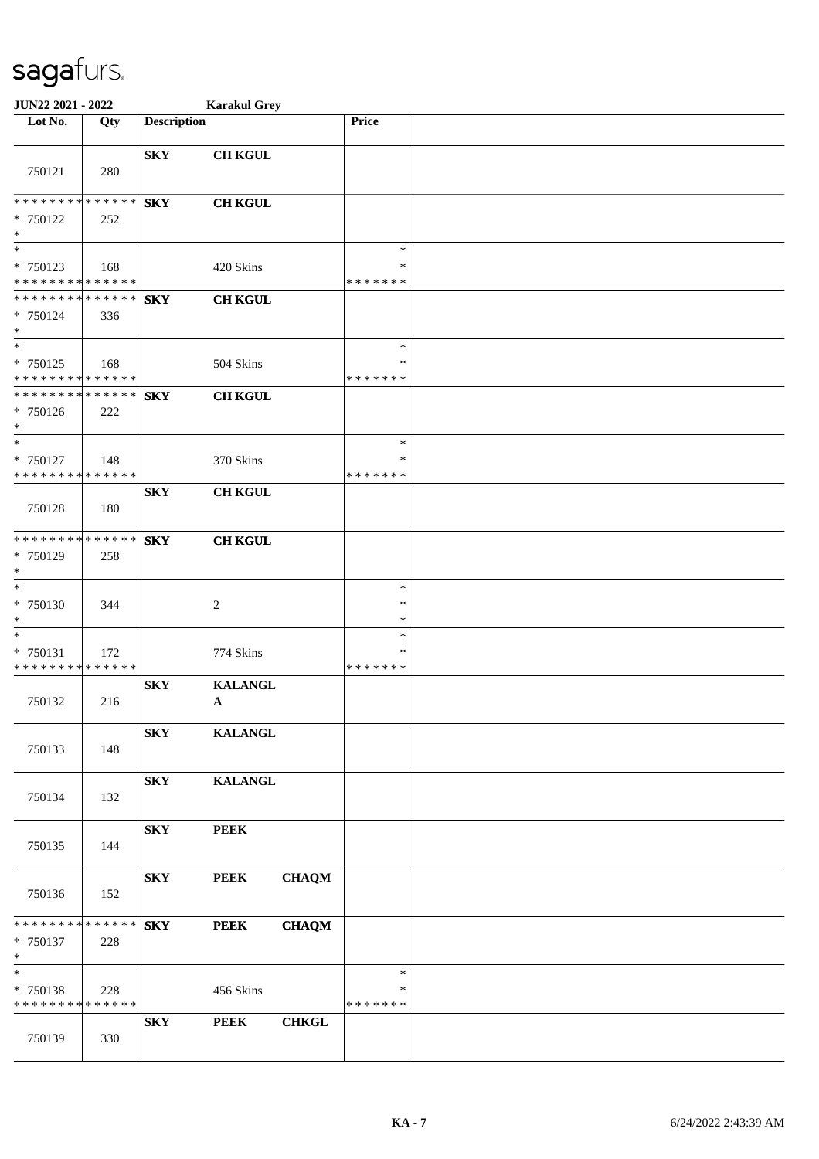| JUN22 2021 - 2022                                                     |                    |                         | <b>Karakul Grey</b>            |              |                                   |  |
|-----------------------------------------------------------------------|--------------------|-------------------------|--------------------------------|--------------|-----------------------------------|--|
| Lot No.                                                               | Qty                | <b>Description</b>      |                                |              | Price                             |  |
| 750121                                                                | 280                | <b>SKY</b>              | <b>CH KGUL</b>                 |              |                                   |  |
| ******** <mark>******</mark><br>$* 750122$<br>$*$                     | 252                | <b>SKY</b>              | <b>CH KGUL</b>                 |              |                                   |  |
| $*$<br>* 750123<br>* * * * * * * * * * * * * *                        | 168                |                         | 420 Skins                      |              | $\ast$<br>∗<br>* * * * * * *      |  |
| * * * * * * * * * * * * * * *<br>* 750124<br>$*$<br>$\overline{\ast}$ | 336                | <b>SKY</b>              | <b>CH KGUL</b>                 |              |                                   |  |
| * 750125<br>* * * * * * * * * * * * * *                               | 168                |                         | 504 Skins                      |              | $\ast$<br>∗<br>* * * * * * *      |  |
| * * * * * * * * * * * * * *<br>* 750126<br>$*$<br>$*$                 | 222                | <b>SKY</b>              | <b>CH KGUL</b>                 |              |                                   |  |
| * 750127<br>* * * * * * * * * * * * * *                               | 148                |                         | 370 Skins                      |              | $\ast$<br>$\ast$<br>* * * * * * * |  |
| 750128                                                                | 180                | <b>SKY</b>              | <b>CH KGUL</b>                 |              |                                   |  |
| * * * * * * * * * * * * * *<br>* 750129<br>$\ast$                     | 258                | <b>SKY</b>              | <b>CH KGUL</b>                 |              |                                   |  |
| $*$<br>$* 750130$<br>$\ast$                                           | 344                |                         | $\overline{c}$                 |              | $\ast$<br>$\ast$<br>$\ast$        |  |
| $\ast$<br>* 750131<br>* * * * * * * * * * * * * *                     | 172                |                         | 774 Skins                      |              | $\ast$<br>∗<br>* * * * * * *      |  |
| 750132                                                                | 216                | <b>SKY</b>              | <b>KALANGL</b><br>$\mathbf{A}$ |              |                                   |  |
| 750133                                                                | 148                | <b>SKY</b>              | <b>KALANGL</b>                 |              |                                   |  |
| 750134                                                                | 132                | <b>SKY</b>              | <b>KALANGL</b>                 |              |                                   |  |
| 750135                                                                | 144                | ${\bf S}{\bf K}{\bf Y}$ | <b>PEEK</b>                    |              |                                   |  |
| 750136                                                                | 152                | <b>SKY</b>              | <b>PEEK</b>                    | <b>CHAQM</b> |                                   |  |
| * * * * * * * *<br>* 750137<br>$*$                                    | * * * * * *<br>228 | ${\bf S}{\bf K}{\bf Y}$ | <b>PEEK</b>                    | <b>CHAQM</b> |                                   |  |
| $*$<br>* 750138<br>* * * * * * * * * * * * * *                        | 228                |                         | 456 Skins                      |              | $\ast$<br>∗<br>* * * * * * *      |  |
| 750139                                                                | 330                | <b>SKY</b>              | <b>PEEK</b>                    | <b>CHKGL</b> |                                   |  |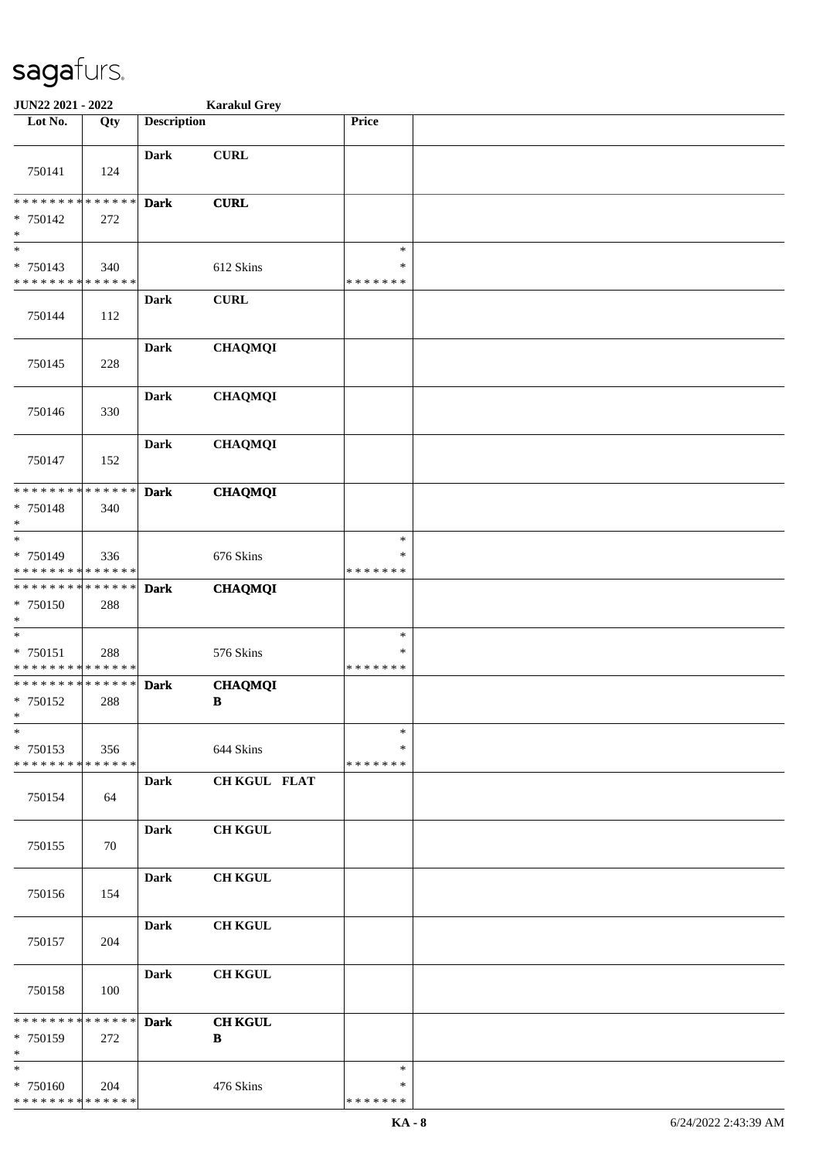| JUN22 2021 - 2022                                            |     | <b>Karakul Grey</b> |                |               |  |
|--------------------------------------------------------------|-----|---------------------|----------------|---------------|--|
| Lot No.                                                      | Qty | <b>Description</b>  |                | Price         |  |
|                                                              |     |                     |                |               |  |
|                                                              |     | <b>Dark</b>         | <b>CURL</b>    |               |  |
| 750141                                                       | 124 |                     |                |               |  |
|                                                              |     |                     |                |               |  |
| ******** <mark>******</mark>                                 |     | <b>Dark</b>         | <b>CURL</b>    |               |  |
| * 750142                                                     | 272 |                     |                |               |  |
| $\ast$                                                       |     |                     |                |               |  |
| $\ast$                                                       |     |                     |                | $\ast$        |  |
| * 750143                                                     | 340 |                     | 612 Skins      | *             |  |
| * * * * * * * * * * * * * *                                  |     |                     |                | * * * * * * * |  |
|                                                              |     | <b>Dark</b>         | <b>CURL</b>    |               |  |
| 750144                                                       | 112 |                     |                |               |  |
|                                                              |     |                     |                |               |  |
|                                                              |     | <b>Dark</b>         | <b>CHAQMQI</b> |               |  |
| 750145                                                       | 228 |                     |                |               |  |
|                                                              |     | <b>Dark</b>         | <b>CHAQMQI</b> |               |  |
| 750146                                                       | 330 |                     |                |               |  |
|                                                              |     |                     |                |               |  |
|                                                              |     | <b>Dark</b>         | <b>CHAQMQI</b> |               |  |
| 750147                                                       | 152 |                     |                |               |  |
|                                                              |     |                     |                |               |  |
| * * * * * * * * * * * * * *                                  |     | <b>Dark</b>         | <b>CHAQMQI</b> |               |  |
| * 750148                                                     | 340 |                     |                |               |  |
| $\ast$                                                       |     |                     |                |               |  |
| $\ast$                                                       |     |                     |                | $\ast$        |  |
| * 750149                                                     | 336 |                     | 676 Skins      | *             |  |
| * * * * * * * * * * * * * *                                  |     |                     |                | * * * * * * * |  |
| * * * * * * * * <mark>* * * * * * *</mark>                   |     | <b>Dark</b>         | <b>CHAQMQI</b> |               |  |
| * 750150                                                     | 288 |                     |                |               |  |
| $\ast$                                                       |     |                     |                |               |  |
| $_{\ast}^{-}$                                                |     |                     |                | $\ast$        |  |
| * 750151                                                     | 288 |                     | 576 Skins      | ∗             |  |
| * * * * * * * * * * * * * *<br>* * * * * * * * * * * * * * * |     |                     |                | * * * * * * * |  |
|                                                              | 288 | <b>Dark</b>         | <b>CHAQMQI</b> |               |  |
| * 750152<br>$*$                                              |     |                     | B              |               |  |
| $\ast$                                                       |     |                     |                | $\ast$        |  |
| * 750153                                                     | 356 |                     | 644 Skins      | $\ast$        |  |
| * * * * * * * * <mark>* * * * * * *</mark>                   |     |                     |                | * * * * * * * |  |
|                                                              |     | <b>Dark</b>         | CH KGUL FLAT   |               |  |
| 750154                                                       | 64  |                     |                |               |  |
|                                                              |     |                     |                |               |  |
|                                                              |     | <b>Dark</b>         | <b>CH KGUL</b> |               |  |
| 750155                                                       | 70  |                     |                |               |  |
|                                                              |     |                     |                |               |  |
|                                                              |     | <b>Dark</b>         | <b>CH KGUL</b> |               |  |
| 750156                                                       | 154 |                     |                |               |  |
|                                                              |     |                     |                |               |  |
|                                                              |     | <b>Dark</b>         | <b>CH KGUL</b> |               |  |
| 750157                                                       | 204 |                     |                |               |  |
|                                                              |     |                     |                |               |  |
|                                                              |     | <b>Dark</b>         | <b>CH KGUL</b> |               |  |
| 750158                                                       | 100 |                     |                |               |  |
| * * * * * * * * <mark>* * * * * * *</mark>                   |     | <b>Dark</b>         | <b>CH KGUL</b> |               |  |
| * 750159                                                     | 272 |                     | B              |               |  |
| $\ast$                                                       |     |                     |                |               |  |
| $\overline{\phantom{a}^*}$                                   |     |                     |                | $\ast$        |  |
| * 750160                                                     | 204 |                     | 476 Skins      | ∗             |  |
| * * * * * * * * * * * * * *                                  |     |                     |                | * * * * * * * |  |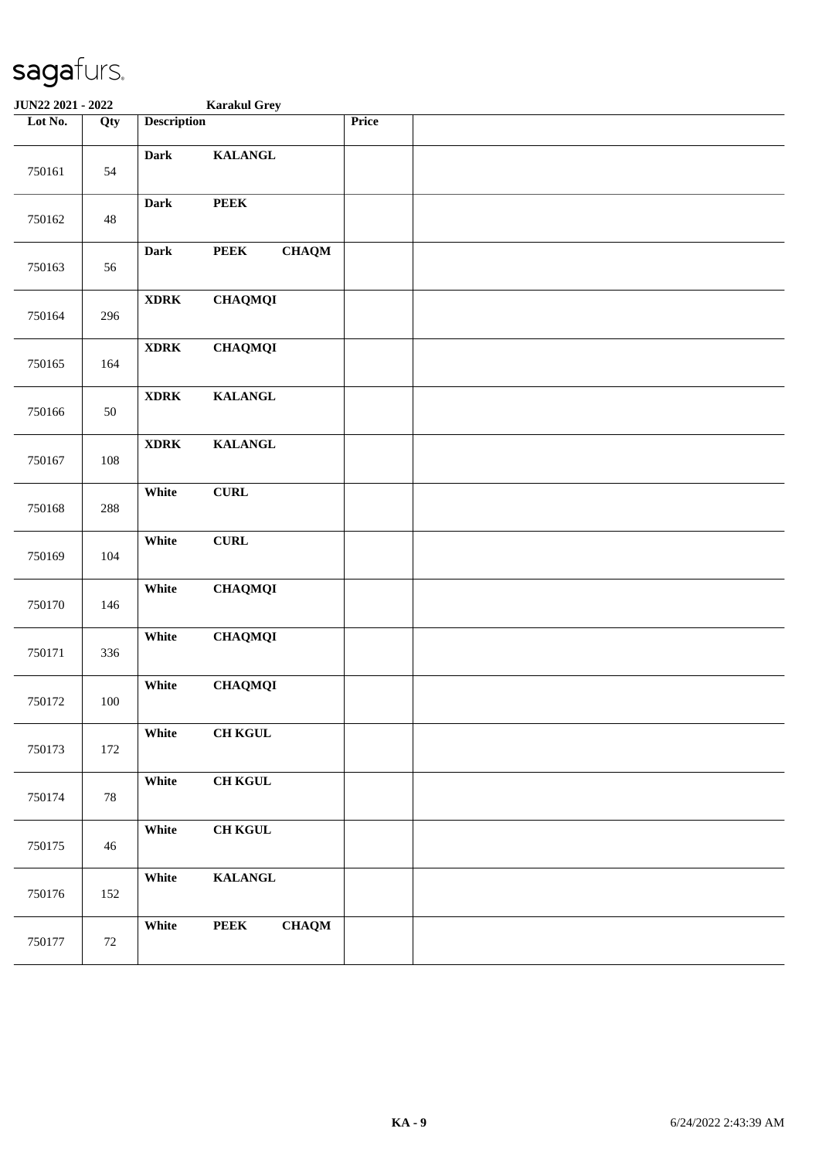| JUN22 2021 - 2022 |         |                                       | <b>Karakul Grey</b> |       |  |
|-------------------|---------|---------------------------------------|---------------------|-------|--|
| Lot No.           | Qty     | <b>Description</b>                    |                     | Price |  |
| 750161            | 54      | <b>Dark</b>                           | <b>KALANGL</b>      |       |  |
| 750162            | 48      | <b>PEEK</b><br><b>Dark</b>            |                     |       |  |
| 750163            | 56      | <b>PEEK</b><br><b>Dark</b>            | <b>CHAQM</b>        |       |  |
| 750164            | 296     | <b>XDRK</b>                           | <b>CHAQMQI</b>      |       |  |
| 750165            | 164     | $\bold{XDRK}$                         | <b>CHAQMQI</b>      |       |  |
| 750166            | $50\,$  | $\bold{X} \bold{D} \bold{R} \bold{K}$ | <b>KALANGL</b>      |       |  |
| 750167            | 108     | $\bold{XDRK}$                         | <b>KALANGL</b>      |       |  |
| 750168            | 288     | ${\bf CURL}$<br>White                 |                     |       |  |
| 750169            | 104     | White<br>${\bf CURL}$                 |                     |       |  |
| 750170            | 146     | White                                 | <b>CHAQMQI</b>      |       |  |
| 750171            | 336     | White                                 | <b>CHAQMQI</b>      |       |  |
| 750172            | $100\,$ | White                                 | <b>CHAQMQI</b>      |       |  |
| 750173            | 172     | White                                 | <b>CH KGUL</b>      |       |  |
| 750174            | $78\,$  | White                                 | <b>CH KGUL</b>      |       |  |
| 750175            | 46      | White                                 | <b>CH KGUL</b>      |       |  |
| 750176            | 152     | White                                 | <b>KALANGL</b>      |       |  |
| 750177            | 72      | <b>PEEK</b><br>White                  | <b>CHAQM</b>        |       |  |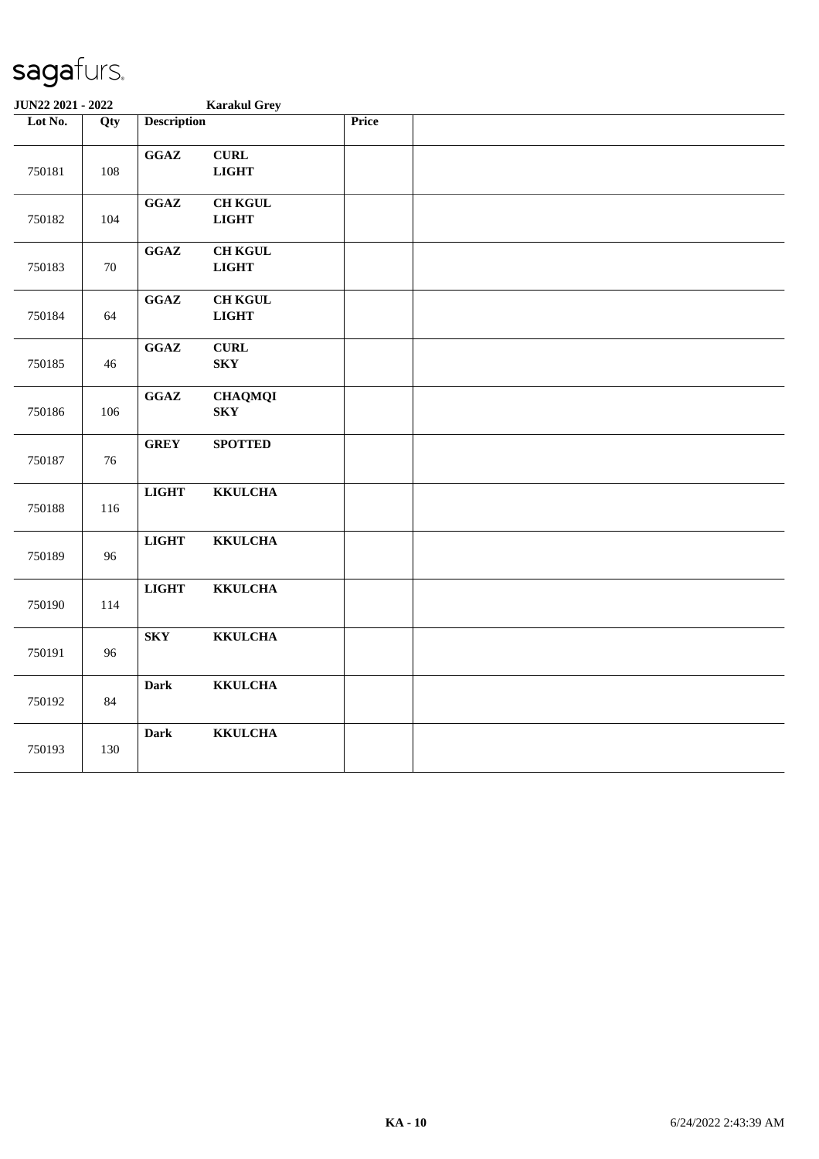| JUN22 2021 - 2022 |        |                                            | <b>Karakul Grey</b>            |              |  |
|-------------------|--------|--------------------------------------------|--------------------------------|--------------|--|
| Lot No.           | Qty    | <b>Description</b>                         |                                | <b>Price</b> |  |
| 750181            | 108    | GGAZ                                       | ${\bf CURL}$<br><b>LIGHT</b>   |              |  |
| 750182            | 104    | $\mathbf{G}\mathbf{G}\mathbf{A}\mathbf{Z}$ | <b>CH KGUL</b><br><b>LIGHT</b> |              |  |
| 750183            | $70\,$ | $\mathbf{G}\mathbf{G}\mathbf{A}\mathbf{Z}$ | <b>CH KGUL</b><br><b>LIGHT</b> |              |  |
| 750184            | 64     | $\mathbf{G}\mathbf{G}\mathbf{A}\mathbf{Z}$ | <b>CH KGUL</b><br><b>LIGHT</b> |              |  |
| 750185            | 46     | $\mathbf{G}\mathbf{G}\mathbf{A}\mathbf{Z}$ | <b>CURL</b><br><b>SKY</b>      |              |  |
| 750186            | 106    | $\mathbf{G}\mathbf{G}\mathbf{A}\mathbf{Z}$ | <b>CHAQMQI</b><br><b>SKY</b>   |              |  |
| 750187            | 76     | <b>GREY</b>                                | <b>SPOTTED</b>                 |              |  |
| 750188            | 116    | <b>LIGHT</b>                               | <b>KKULCHA</b>                 |              |  |
| 750189            | 96     | <b>LIGHT</b>                               | <b>KKULCHA</b>                 |              |  |
| 750190            | 114    | <b>LIGHT</b>                               | <b>KKULCHA</b>                 |              |  |
| 750191            | 96     | ${\bf S}{\bf K}{\bf Y}$                    | <b>KKULCHA</b>                 |              |  |
| 750192            | 84     | <b>Dark</b>                                | <b>KKULCHA</b>                 |              |  |
| 750193            | 130    | <b>Dark</b>                                | <b>KKULCHA</b>                 |              |  |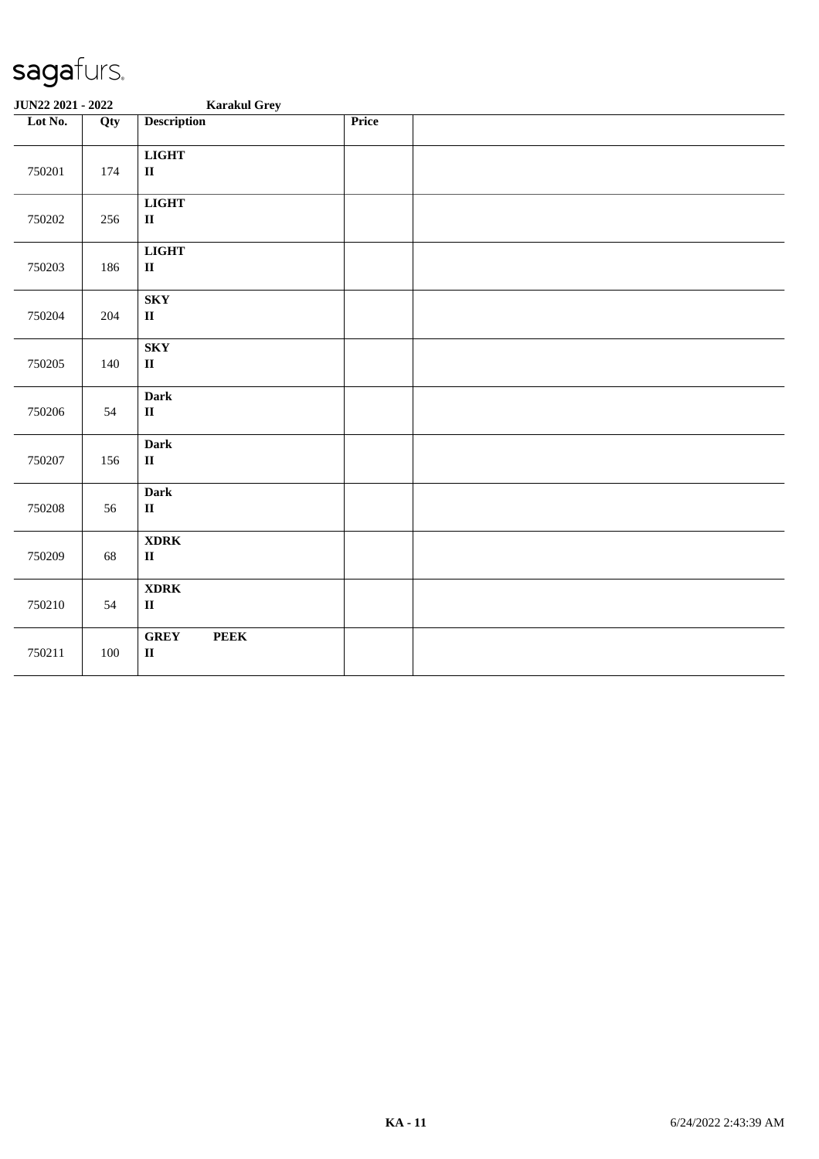| JUN22 2021 - 2022 |         | <b>Karakul Grey</b>                               |       |  |
|-------------------|---------|---------------------------------------------------|-------|--|
| Lot No.           | Qty     | <b>Description</b>                                | Price |  |
| 750201            | 174     | <b>LIGHT</b><br>$\mathbf{I}\mathbf{I}$            |       |  |
| 750202            | 256     | <b>LIGHT</b><br>$\rm II$                          |       |  |
| 750203            | 186     | <b>LIGHT</b><br>$\mathbf{I}\mathbf{I}$            |       |  |
| 750204            | 204     | ${\bf S}{\bf K}{\bf Y}$<br>$\mathbf{I}\mathbf{I}$ |       |  |
| 750205            | 140     | <b>SKY</b><br>$\mathbf{I}\mathbf{I}$              |       |  |
| 750206            | 54      | <b>Dark</b><br>$\rm II$                           |       |  |
| 750207            | 156     | <b>Dark</b><br>$\mathbf{I}\mathbf{I}$             |       |  |
| 750208            | 56      | <b>Dark</b><br>$\rm II$                           |       |  |
| 750209            | 68      | <b>XDRK</b><br>$\mathbf{I}\mathbf{I}$             |       |  |
| 750210            | 54      | <b>XDRK</b><br>$\rm II$                           |       |  |
| 750211            | $100\,$ | <b>GREY</b><br>${\bf PEEK}$<br>$\rm II$           |       |  |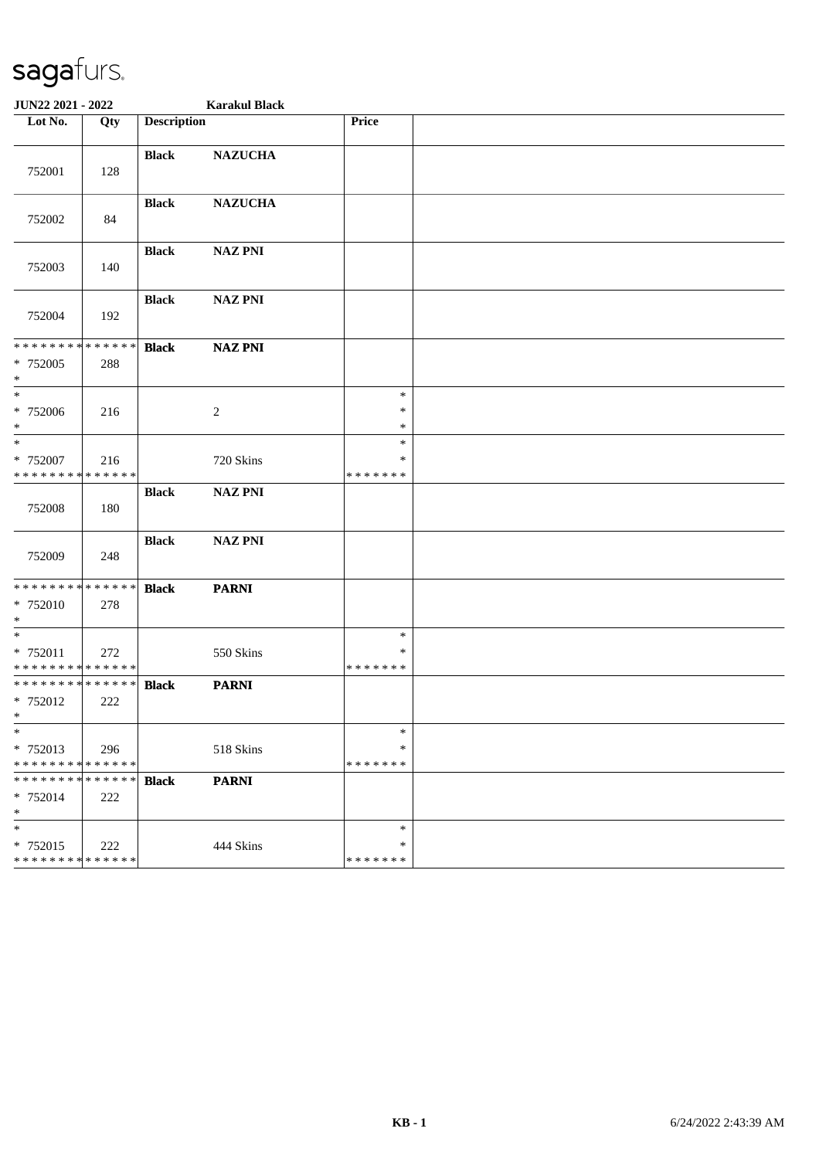| JUN22 2021 - 2022                                  |     |                    | <b>Karakul Black</b> |                                   |  |
|----------------------------------------------------|-----|--------------------|----------------------|-----------------------------------|--|
| Lot $No.$                                          | Qty | <b>Description</b> |                      | Price                             |  |
| 752001                                             | 128 | <b>Black</b>       | <b>NAZUCHA</b>       |                                   |  |
| 752002                                             | 84  | <b>Black</b>       | <b>NAZUCHA</b>       |                                   |  |
| 752003                                             | 140 | <b>Black</b>       | <b>NAZ PNI</b>       |                                   |  |
| 752004                                             | 192 | <b>Black</b>       | <b>NAZ PNI</b>       |                                   |  |
| ******** <mark>******</mark><br>* 752005<br>$*$    | 288 | <b>Black</b>       | <b>NAZ PNI</b>       |                                   |  |
| $*$<br>* 752006<br>$*$                             | 216 |                    | $\sqrt{2}$           | $\ast$<br>$\ast$<br>$\ast$        |  |
| $*$<br>$* 752007$<br>* * * * * * * * * * * * * *   | 216 |                    | 720 Skins            | $\ast$<br>$\ast$<br>* * * * * * * |  |
| 752008                                             | 180 | <b>Black</b>       | <b>NAZ PNI</b>       |                                   |  |
| 752009                                             | 248 | <b>Black</b>       | <b>NAZ PNI</b>       |                                   |  |
| * * * * * * * * * * * * * *<br>$* 752010$<br>$*$   | 278 | <b>Black</b>       | <b>PARNI</b>         |                                   |  |
| $*$<br>* 752011<br>* * * * * * * * * * * * * *     | 272 |                    | 550 Skins            | $\ast$<br>∗<br>* * * * * * *      |  |
| * * * * * * * * * * * * * * *<br>* 752012<br>$*$   | 222 | <b>Black</b>       | <b>PARNI</b>         |                                   |  |
| $\ast$<br>* 752013<br>* * * * * * * * * * * * * *  | 296 |                    | 518 Skins            | $\ast$<br>$\ast$<br>* * * * * * * |  |
| * * * * * * * * * * * * * * *<br>* 752014<br>$*$   | 222 | <b>Black</b>       | <b>PARNI</b>         |                                   |  |
| $\ast$<br>* 752015<br>******** <mark>******</mark> | 222 |                    | 444 Skins            | $\ast$<br>$\ast$<br>* * * * * * * |  |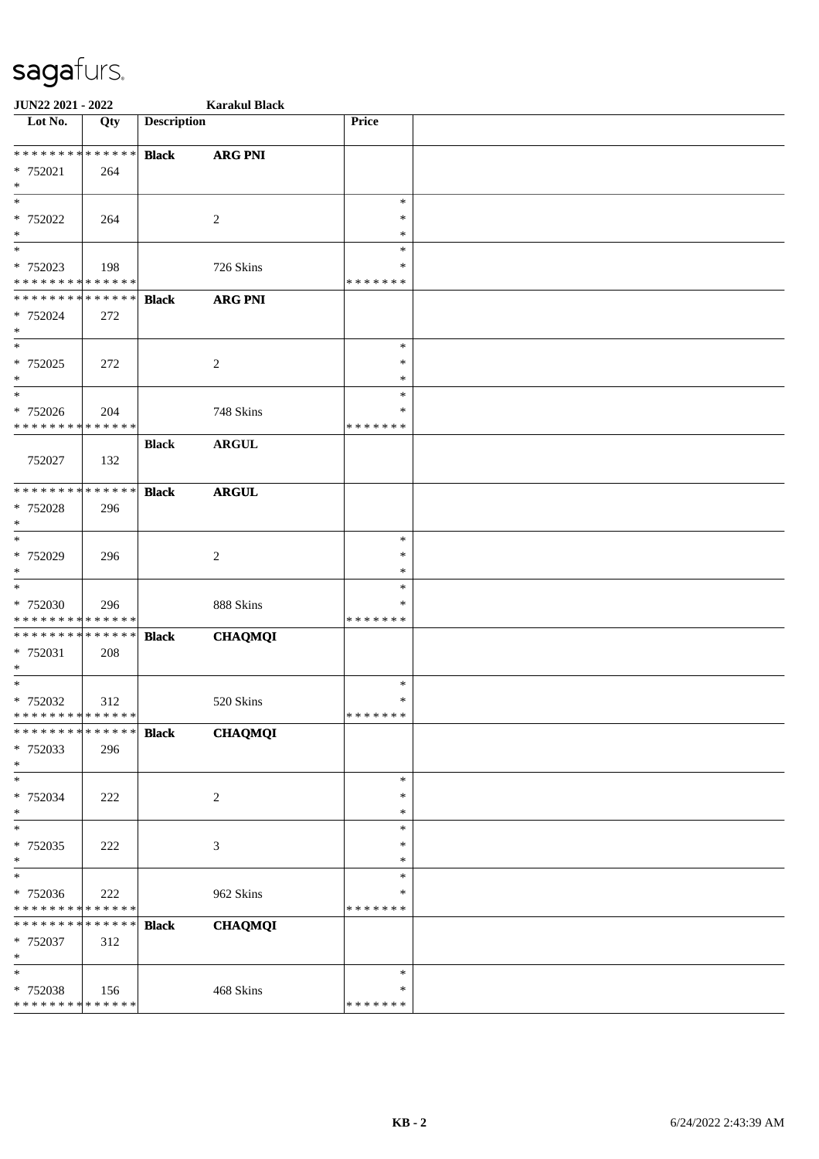| JUN22 2021 - 2022                       |     |                    | <b>Karakul Black</b> |                    |  |
|-----------------------------------------|-----|--------------------|----------------------|--------------------|--|
| Lot No.                                 | Qty | <b>Description</b> |                      | Price              |  |
| * * * * * * * * * * * * * *             |     | <b>Black</b>       | <b>ARG PNI</b>       |                    |  |
| * 752021                                | 264 |                    |                      |                    |  |
| $\ast$                                  |     |                    |                      |                    |  |
| $\ast$                                  |     |                    |                      | $\ast$             |  |
| * 752022                                | 264 |                    | $\overline{c}$       | $\ast$             |  |
| $\ast$                                  |     |                    |                      | $\ast$             |  |
| $*$                                     |     |                    |                      | $\ast$             |  |
| * 752023<br>* * * * * * * * * * * * * * | 198 |                    | 726 Skins            | *<br>* * * * * * * |  |
| * * * * * * * * * * * * * *             |     | <b>Black</b>       | <b>ARG PNI</b>       |                    |  |
| * 752024                                | 272 |                    |                      |                    |  |
| $\ast$                                  |     |                    |                      |                    |  |
| $\overline{\phantom{a}^*}$              |     |                    |                      | $\ast$             |  |
| * 752025                                | 272 |                    | $\overline{c}$       | *                  |  |
| $\ast$                                  |     |                    |                      | $\ast$             |  |
| $\ast$                                  |     |                    |                      | $\ast$             |  |
| * 752026                                | 204 |                    | 748 Skins            | *                  |  |
| * * * * * * * * * * * * * *             |     |                    |                      | * * * * * * *      |  |
|                                         |     | <b>Black</b>       | <b>ARGUL</b>         |                    |  |
| 752027                                  | 132 |                    |                      |                    |  |
|                                         |     |                    |                      |                    |  |
| * * * * * * * * * * * * * *             |     | <b>Black</b>       | <b>ARGUL</b>         |                    |  |
| * 752028                                | 296 |                    |                      |                    |  |
| $\ast$<br>$*$                           |     |                    |                      | $\ast$             |  |
|                                         |     |                    |                      | ∗                  |  |
| * 752029<br>$\ast$                      | 296 |                    | $\boldsymbol{2}$     | *                  |  |
| $\ast$                                  |     |                    |                      | $\ast$             |  |
| * 752030                                | 296 |                    | 888 Skins            | ∗                  |  |
| * * * * * * * * * * * * * *             |     |                    |                      | * * * * * * *      |  |
| * * * * * * * * * * * * * *             |     | <b>Black</b>       | <b>CHAQMQI</b>       |                    |  |
| * 752031                                | 208 |                    |                      |                    |  |
| $*$                                     |     |                    |                      |                    |  |
| $*$                                     |     |                    |                      | $\ast$             |  |
| * 752032                                | 312 |                    | 520 Skins            | $\ast$             |  |
| * * * * * * * * * * * * * *             |     |                    |                      | * * * * * * *      |  |
| * * * * * * * * * * * * * *             |     | <b>Black</b>       | <b>CHAQMQI</b>       |                    |  |
| * 752033<br>$\ast$                      | 296 |                    |                      |                    |  |
| $\ast$                                  |     |                    |                      | $\ast$             |  |
| * 752034                                | 222 |                    | 2                    | ∗                  |  |
| $*$                                     |     |                    |                      | ∗                  |  |
| $\ast$                                  |     |                    |                      | $\ast$             |  |
| * 752035                                | 222 |                    | 3                    | *                  |  |
| $\ast$                                  |     |                    |                      | ∗                  |  |
| $\ast$                                  |     |                    |                      | $\ast$             |  |
| * 752036                                | 222 |                    | 962 Skins            | *                  |  |
| * * * * * * * * * * * * * *             |     |                    |                      | * * * * * * *      |  |
| * * * * * * * * * * * * * *             |     | <b>Black</b>       | <b>CHAQMQI</b>       |                    |  |
| * 752037                                | 312 |                    |                      |                    |  |
| $*$                                     |     |                    |                      |                    |  |
| $\ast$                                  |     |                    |                      | $\ast$<br>∗        |  |
| * 752038<br>* * * * * * * * * * * * * * | 156 |                    | 468 Skins            | * * * * * * *      |  |
|                                         |     |                    |                      |                    |  |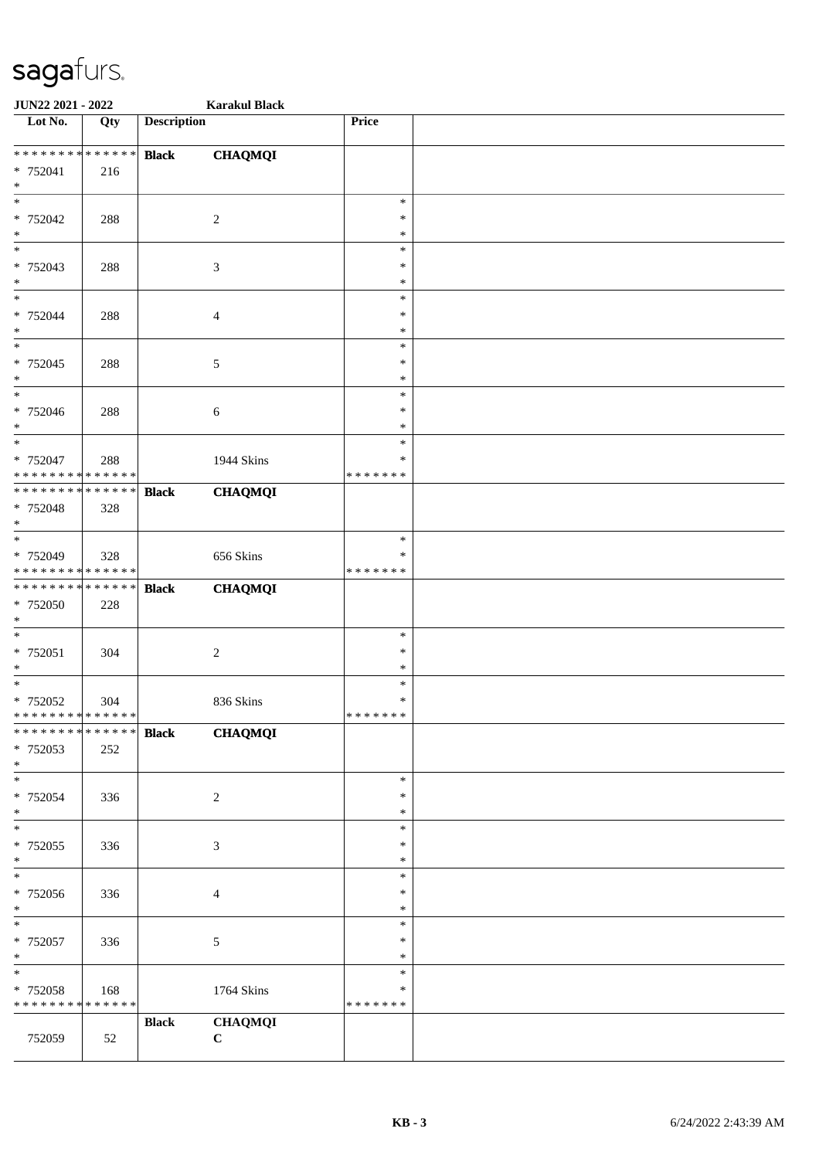| JUN22 2021 - 2022                |             |                    | <b>Karakul Black</b> |               |  |
|----------------------------------|-------------|--------------------|----------------------|---------------|--|
| $\overline{\phantom{1}}$ Lot No. | Qty         | <b>Description</b> |                      | Price         |  |
|                                  |             |                    |                      |               |  |
| ******** <mark>******</mark>     |             | <b>Black</b>       | <b>CHAQMQI</b>       |               |  |
| * 752041                         | 216         |                    |                      |               |  |
| $\ast$                           |             |                    |                      |               |  |
| $\ast$                           |             |                    |                      | $\ast$        |  |
| * 752042                         | 288         |                    | $\overline{c}$       | $\ast$        |  |
| $\ast$                           |             |                    |                      | $\ast$        |  |
| $\overline{\ast}$                |             |                    |                      | $\ast$        |  |
| * 752043                         | 288         |                    | 3                    | $\ast$        |  |
| $*$                              |             |                    |                      | $\ast$        |  |
| $*$                              |             |                    |                      | $\ast$        |  |
| * 752044                         | 288         |                    | 4                    | $\ast$        |  |
| $\ast$                           |             |                    |                      | $\ast$        |  |
| $\ast$                           |             |                    |                      | $\ast$        |  |
|                                  |             |                    |                      | $\ast$        |  |
| * 752045                         | 288         |                    | 5                    | $\ast$        |  |
| $\ast$<br>$\ast$                 |             |                    |                      |               |  |
|                                  |             |                    |                      | $\ast$        |  |
| $* 752046$                       | 288         |                    | 6                    | $\ast$        |  |
| $*$                              |             |                    |                      | $\ast$        |  |
| $\ast$                           |             |                    |                      | $\ast$        |  |
| * 752047                         | 288         |                    | 1944 Skins           | ∗             |  |
| * * * * * * * * * * * * * *      |             |                    |                      | * * * * * * * |  |
| * * * * * * * *                  | ******      | <b>Black</b>       | <b>CHAQMQI</b>       |               |  |
| * 752048                         | 328         |                    |                      |               |  |
| $\ast$                           |             |                    |                      |               |  |
| $*$                              |             |                    |                      | $\ast$        |  |
| * 752049                         | 328         |                    | 656 Skins            | ∗             |  |
| * * * * * * * * * * * * * *      |             |                    |                      | * * * * * * * |  |
| * * * * * * * * * * * * * *      |             | <b>Black</b>       | <b>CHAQMQI</b>       |               |  |
| $* 752050$                       | 228         |                    |                      |               |  |
| $*$                              |             |                    |                      |               |  |
| $*$                              |             |                    |                      | $\ast$        |  |
| $* 752051$                       | 304         |                    | $\boldsymbol{2}$     | $\ast$        |  |
| $*$                              |             |                    |                      | $\ast$        |  |
| $\ast$                           |             |                    |                      | $\ast$        |  |
| * 752052                         | 304         |                    | 836 Skins            | $\ast$        |  |
| ******** <mark>******</mark>     |             |                    |                      | *******       |  |
| ******** <mark>******</mark>     |             | <b>Black</b>       | <b>CHAQMQI</b>       |               |  |
| * 752053                         | 252         |                    |                      |               |  |
| $*$                              |             |                    |                      |               |  |
| $*$                              |             |                    |                      | $\ast$        |  |
| * 752054                         | 336         |                    | $\sqrt{2}$           | $\ast$        |  |
| $*$                              |             |                    |                      | ∗             |  |
| $\ast$                           |             |                    |                      | $\ast$        |  |
| * 752055                         | 336         |                    | 3                    | $\ast$        |  |
| $*$                              |             |                    |                      | $\ast$        |  |
| $\overline{\phantom{0}}$         |             |                    |                      | $\ast$        |  |
| * 752056                         | 336         |                    | $\overline{4}$       | $\ast$        |  |
| $*$                              |             |                    |                      | $\ast$        |  |
| $\ast$                           |             |                    |                      | $\ast$        |  |
|                                  |             |                    |                      | $\ast$        |  |
| * 752057                         | 336         |                    | 5                    | $\ast$        |  |
| $*$<br>$\ast$                    |             |                    |                      |               |  |
|                                  |             |                    |                      | $\ast$        |  |
| * 752058                         | 168         |                    | 1764 Skins           | $\ast$        |  |
| * * * * * * * *                  | * * * * * * |                    |                      | * * * * * * * |  |
|                                  |             | <b>Black</b>       | <b>CHAQMQI</b>       |               |  |
| 752059                           | 52          |                    | $\mathbf C$          |               |  |
|                                  |             |                    |                      |               |  |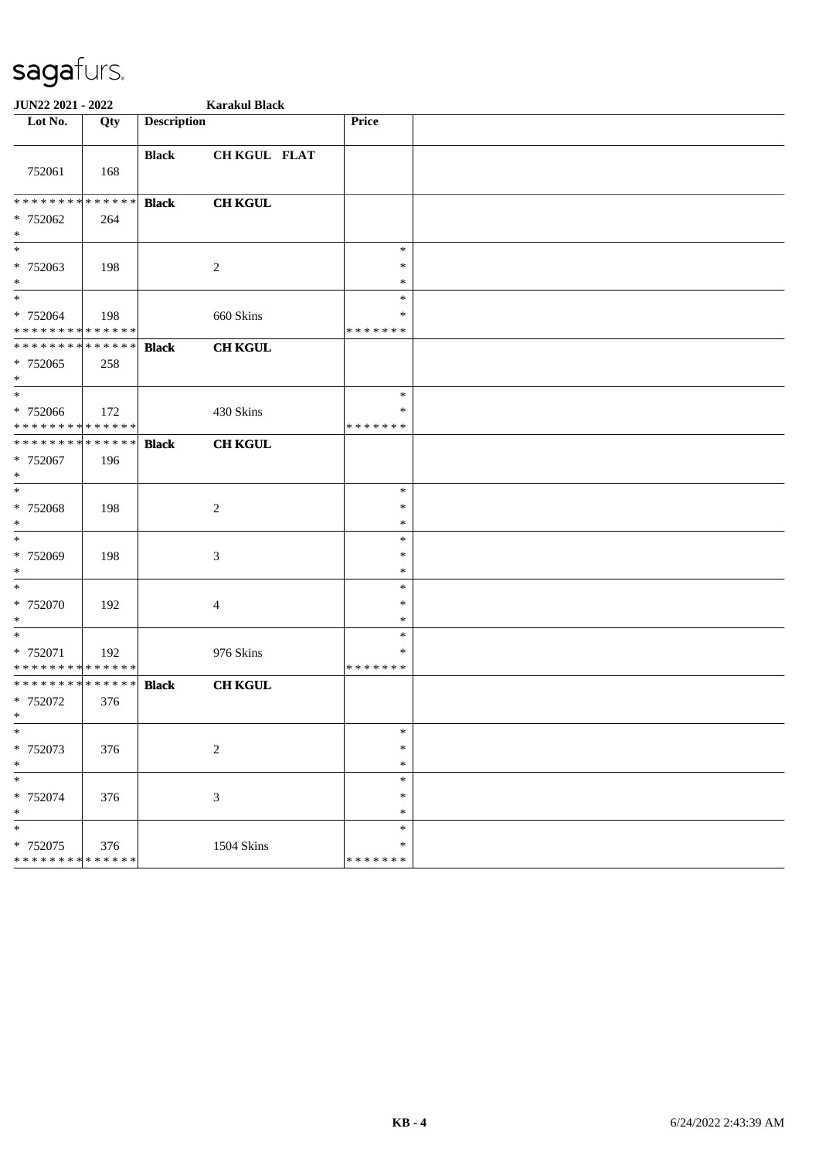| JUN22 2021 - 2022                                    |     |                    | <b>Karakul Black</b>        |                                   |  |
|------------------------------------------------------|-----|--------------------|-----------------------------|-----------------------------------|--|
| Lot No.                                              | Qty | <b>Description</b> |                             | Price                             |  |
| 752061                                               | 168 | <b>Black</b>       | CH KGUL FLAT                |                                   |  |
| **************<br>* 752062<br>$*$                    | 264 | <b>Black</b>       | <b>CH KGUL</b>              |                                   |  |
| $\ast$<br>* 752063<br>$\ast$                         | 198 |                    | $\overline{c}$              | $\ast$<br>$\ast$<br>$\ast$        |  |
| $*$<br>* 752064<br>* * * * * * * * * * * * * *       | 198 |                    | 660 Skins                   | ∗<br>∗<br>* * * * * * *           |  |
| * * * * * * * * * * * * * * *<br>* 752065<br>$*$     | 258 | <b>Black</b>       | <b>CH KGUL</b>              |                                   |  |
| $\ast$<br>* 752066<br>* * * * * * * * * * * * * *    | 172 |                    | 430 Skins                   | $\ast$<br>$\ast$<br>* * * * * * * |  |
| * * * * * * * * * * * * * *<br>* 752067<br>$\ast$    | 196 | <b>Black</b>       | <b>CH KGUL</b>              |                                   |  |
| $*$<br>* 752068<br>$*$                               | 198 |                    | $\overline{c}$              | $\ast$<br>$\ast$<br>$\ast$        |  |
| $\ast$<br>* 752069<br>$\ast$                         | 198 |                    | 3                           | $\ast$<br>$\ast$<br>$\ast$        |  |
| $\ast$<br>$* 752070$<br>$\ast$                       | 192 |                    | 4                           | $\ast$<br>$\ast$<br>$\ast$        |  |
| $*$<br>* 752071<br>* * * * * * * * * * * * * *       | 192 |                    | 976 Skins                   | $\ast$<br>∗<br>* * * * * * *      |  |
| * * * * * * * * * * * * * * *<br>* 752072            | 376 | <b>Black</b>       | <b>CH KGUL</b>              |                                   |  |
| $\ast$<br>* 752073<br>$\ast$                         | 376 |                    | $\sqrt{2}$                  | $\ast$<br>$\ast$<br>$\ast$        |  |
| $\overline{\ast}$<br>* 752074<br>$\ast$              | 376 |                    | $\ensuremath{\mathfrak{Z}}$ | $\ast$<br>$\ast$<br>$\ast$        |  |
| $\ast$<br>$* 752075$<br>******** <mark>******</mark> | 376 |                    | 1504 Skins                  | $\ast$<br>$\ast$<br>* * * * * * * |  |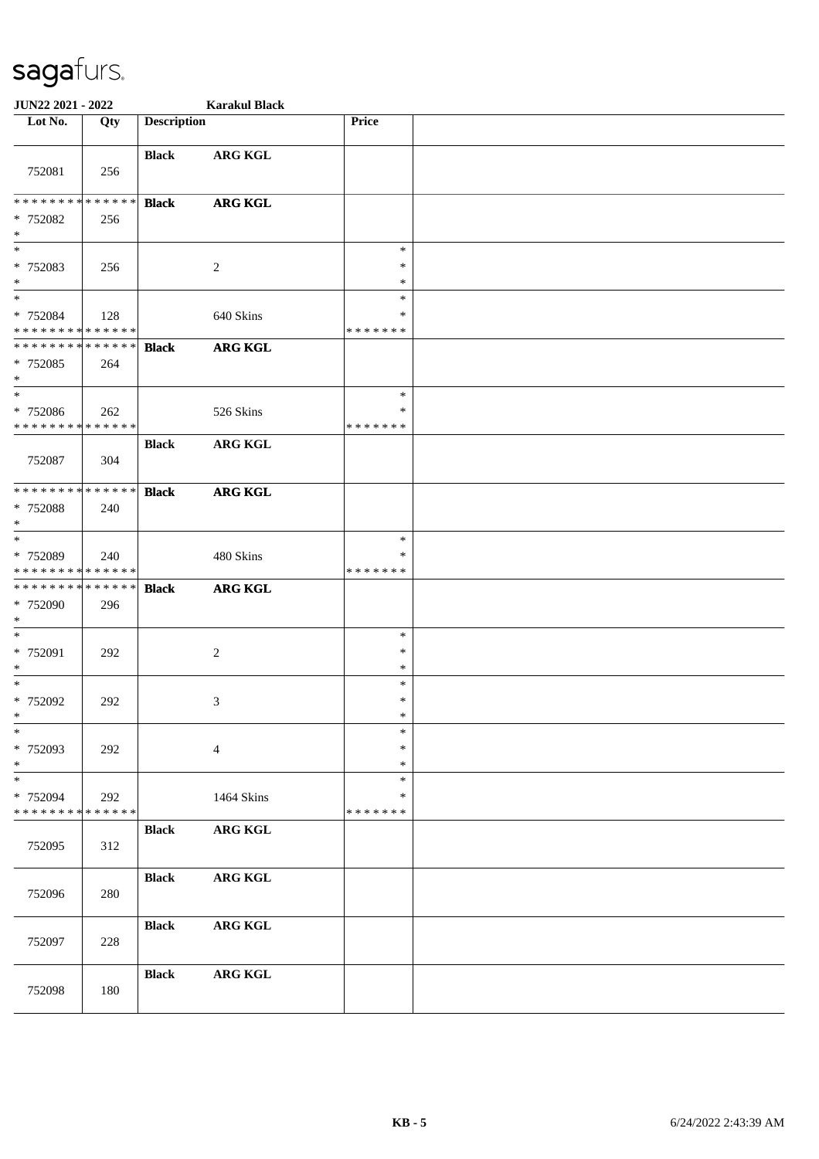| JUN22 2021 - 2022                                                     |     |                    | <b>Karakul Black</b> |                                   |  |
|-----------------------------------------------------------------------|-----|--------------------|----------------------|-----------------------------------|--|
| Lot No.                                                               | Qty | <b>Description</b> |                      | Price                             |  |
| 752081                                                                | 256 | <b>Black</b>       | <b>ARG KGL</b>       |                                   |  |
| ******** <mark>******</mark><br>* 752082<br>$\ast$                    | 256 | <b>Black</b>       | <b>ARG KGL</b>       |                                   |  |
| $\overline{\phantom{a}}$<br>* 752083<br>$\ast$                        | 256 |                    | 2                    | $\ast$<br>∗<br>$\ast$             |  |
| $*$<br>* 752084<br>* * * * * * * * * * * * * *                        | 128 |                    | 640 Skins            | $\ast$<br>∗<br>* * * * * * *      |  |
| * * * * * * * * * * * * * *<br>* 752085<br>$\ast$                     | 264 | <b>Black</b>       | <b>ARG KGL</b>       |                                   |  |
| $\overline{\phantom{a}^*}$<br>* 752086<br>* * * * * * * * * * * * * * | 262 |                    | 526 Skins            | $\ast$<br>∗<br>* * * * * * *      |  |
| 752087                                                                | 304 | <b>Black</b>       | <b>ARG KGL</b>       |                                   |  |
| **************<br>* 752088<br>$\ast$                                  | 240 | <b>Black</b>       | <b>ARG KGL</b>       |                                   |  |
| $\ast$<br>* 752089<br>* * * * * * * * * * * * * *                     | 240 |                    | 480 Skins            | $\ast$<br>∗<br>* * * * * * *      |  |
| * * * * * * * * * * * * * *<br>* 752090<br>$\ast$                     | 296 | <b>Black</b>       | <b>ARG KGL</b>       |                                   |  |
| $\ast$<br>* 752091<br>$\ast$                                          | 292 |                    | $\sqrt{2}$           | $\ast$<br>$\ast$<br>$\ast$        |  |
| $\ast$<br>$* 752092$<br>ske i                                         | 292 |                    | $\mathfrak{Z}$       | $\ast$<br>$\ast$<br>*             |  |
| $\ast$<br>* 752093<br>$\ast$                                          | 292 |                    | $\overline{4}$       | $\ast$<br>$\ast$<br>$\ast$        |  |
| $\ast$<br>* 752094<br>* * * * * * * * * * * * * *                     | 292 |                    | 1464 Skins           | $\ast$<br>$\ast$<br>* * * * * * * |  |
| 752095                                                                | 312 | <b>Black</b>       | ARG KGL              |                                   |  |
| 752096                                                                | 280 | <b>Black</b>       | ARG KGL              |                                   |  |
| 752097                                                                | 228 | <b>Black</b>       | <b>ARG KGL</b>       |                                   |  |
| 752098                                                                | 180 | <b>Black</b>       | ARG KGL              |                                   |  |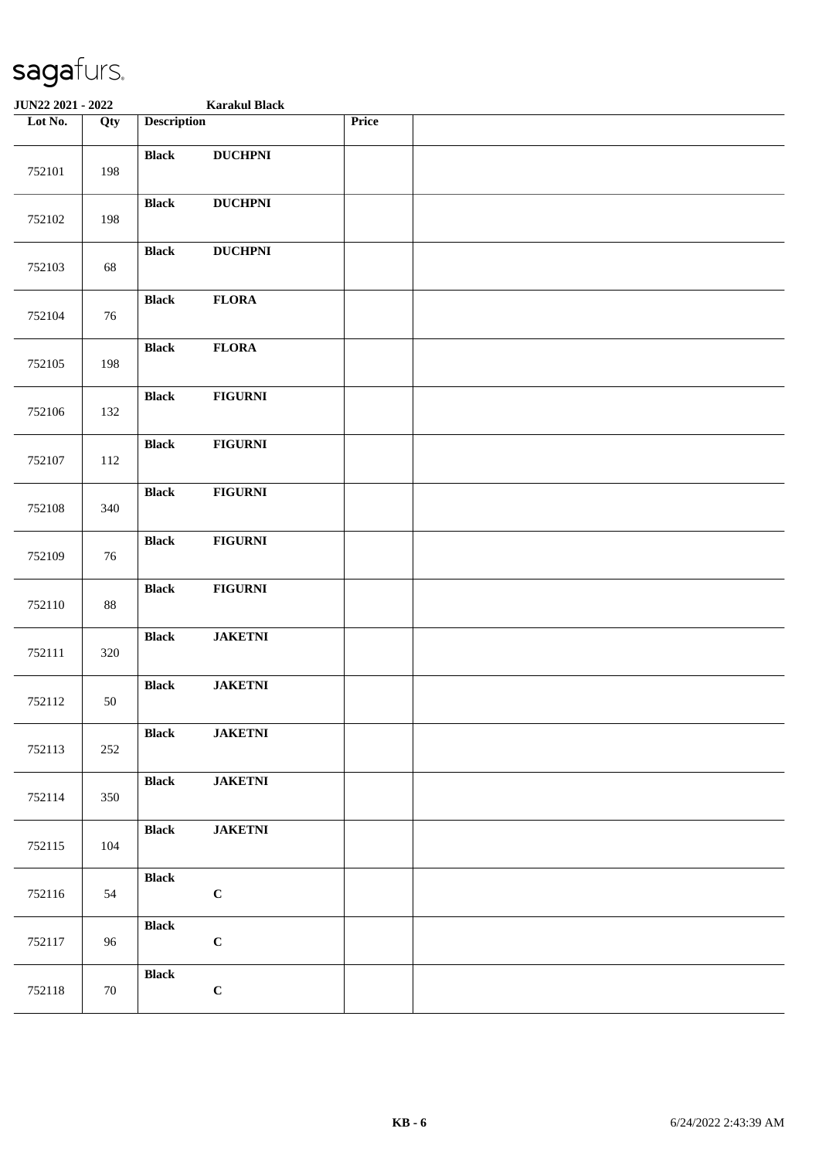| JUN22 2021 - 2022 |        |                    | <b>Karakul Black</b> |       |  |
|-------------------|--------|--------------------|----------------------|-------|--|
| Lot No.           | Qty    | <b>Description</b> |                      | Price |  |
| 752101            | 198    | <b>Black</b>       | <b>DUCHPNI</b>       |       |  |
| 752102            | 198    | <b>Black</b>       | <b>DUCHPNI</b>       |       |  |
| 752103            | 68     | <b>Black</b>       | <b>DUCHPNI</b>       |       |  |
| 752104            | 76     | <b>Black</b>       | <b>FLORA</b>         |       |  |
| 752105            | 198    | <b>Black</b>       | <b>FLORA</b>         |       |  |
| 752106            | 132    | <b>Black</b>       | <b>FIGURNI</b>       |       |  |
| 752107            | 112    | <b>Black</b>       | <b>FIGURNI</b>       |       |  |
| 752108            | 340    | <b>Black</b>       | <b>FIGURNI</b>       |       |  |
| 752109            | 76     | <b>Black</b>       | <b>FIGURNI</b>       |       |  |
| 752110            | $88\,$ | <b>Black</b>       | <b>FIGURNI</b>       |       |  |
| 752111            | 320    | <b>Black</b>       | <b>JAKETNI</b>       |       |  |
| 752112            | 50     | <b>Black</b>       | <b>JAKETNI</b>       |       |  |
| 752113            | 252    | <b>Black</b>       | <b>JAKETNI</b>       |       |  |
| 752114            | 350    | <b>Black</b>       | $\mathbf{JAKETNI}$   |       |  |
| 752115            | 104    | <b>Black</b>       | <b>JAKETNI</b>       |       |  |
| 752116            | 54     | <b>Black</b>       | $\mathbf C$          |       |  |
| 752117            | 96     | <b>Black</b>       | $\mathbf C$          |       |  |
| 752118            | 70     | <b>Black</b>       | $\mathbf C$          |       |  |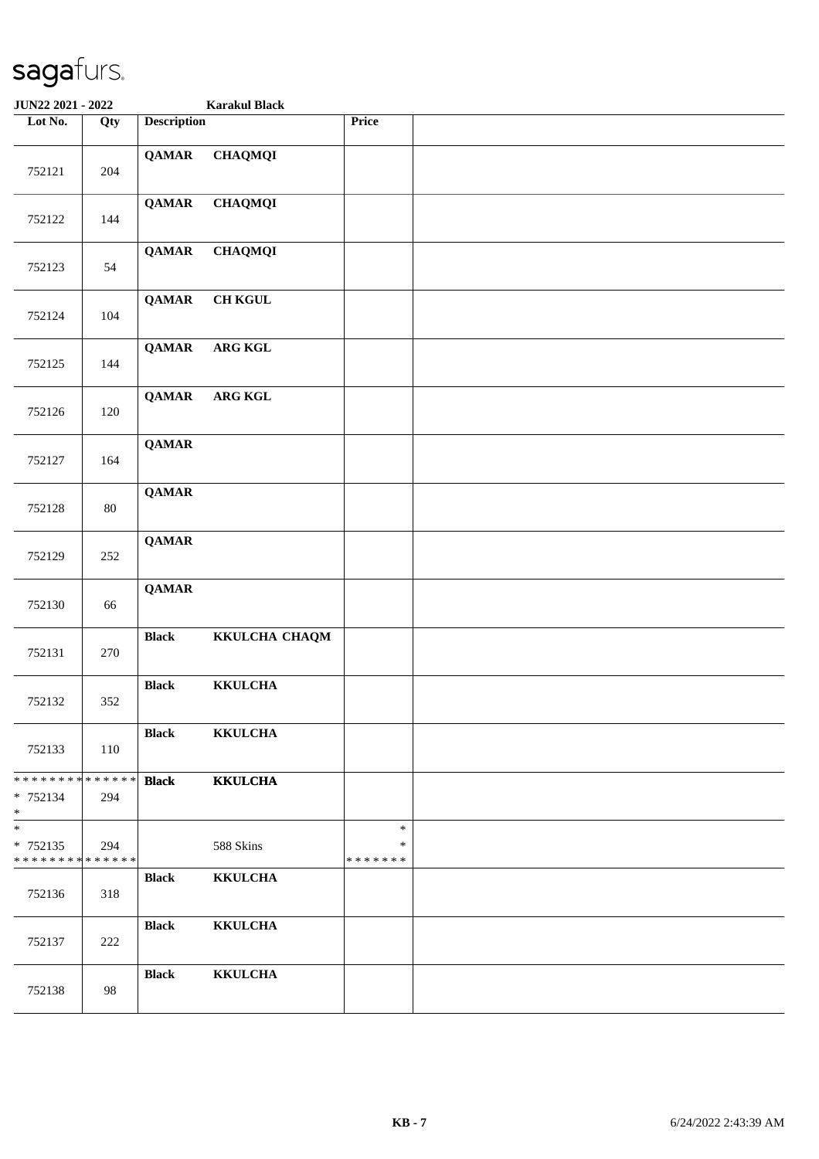| JUN22 2021 - 2022                                    |        |                    | <b>Karakul Black</b> |                              |  |
|------------------------------------------------------|--------|--------------------|----------------------|------------------------------|--|
| Lot No.                                              | Qty    | <b>Description</b> |                      | Price                        |  |
| 752121                                               | 204    | <b>QAMAR</b>       | <b>CHAQMQI</b>       |                              |  |
| 752122                                               | 144    | <b>QAMAR</b>       | <b>CHAQMQI</b>       |                              |  |
| 752123                                               | 54     | <b>QAMAR</b>       | <b>CHAQMQI</b>       |                              |  |
| 752124                                               | 104    | <b>QAMAR</b>       | $\rm CH$ KGUL        |                              |  |
| 752125                                               | 144    | <b>QAMAR</b>       | ARG KGL              |                              |  |
| 752126                                               | 120    | <b>QAMAR</b>       | ARG KGL              |                              |  |
| 752127                                               | 164    | <b>QAMAR</b>       |                      |                              |  |
| 752128                                               | $80\,$ | <b>QAMAR</b>       |                      |                              |  |
| 752129                                               | 252    | <b>QAMAR</b>       |                      |                              |  |
| 752130                                               | 66     | <b>QAMAR</b>       |                      |                              |  |
| 752131                                               | 270    | <b>Black</b>       | KKULCHA CHAQM        |                              |  |
| 752132                                               | 352    | <b>Black</b>       | <b>KKULCHA</b>       |                              |  |
| 752133                                               | 110    | <b>Black</b>       | <b>KKULCHA</b>       |                              |  |
| * * * * * * * * * * * * * * *<br>* 752134<br>$*$ $*$ | 294    | <b>Black</b>       | <b>KKULCHA</b>       |                              |  |
| $*$<br>$* 752135$<br>* * * * * * * * * * * * * * *   | 294    |                    | 588 Skins            | $\ast$<br>∗<br>* * * * * * * |  |
| 752136                                               | 318    | <b>Black</b>       | <b>KKULCHA</b>       |                              |  |
| 752137                                               | 222    | <b>Black</b>       | <b>KKULCHA</b>       |                              |  |
| 752138                                               | 98     | <b>Black</b>       | <b>KKULCHA</b>       |                              |  |